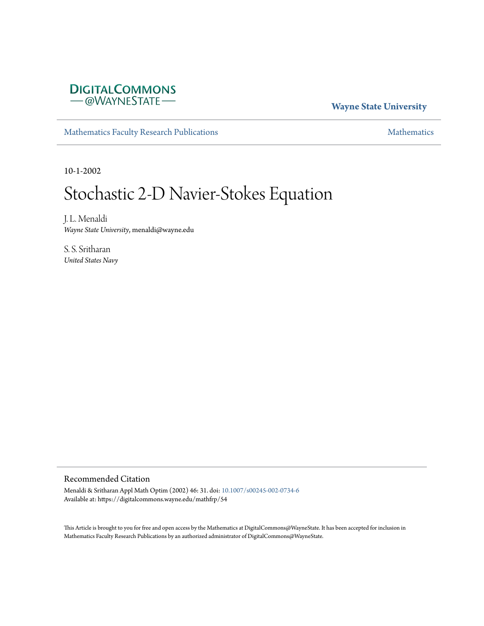

#### **Wayne State University**

[Mathematics Faculty Research Publications](https://digitalcommons.wayne.edu/mathfrp) **[Mathematics](https://digitalcommons.wayne.edu/math)** Mathematics

10-1-2002

# Stochastic 2-D Navier-Stokes Equation

J. L. Menaldi *Wayne State University*, menaldi@wayne.edu

S. S. Sritharan *United States Navy*

#### Recommended Citation

Menaldi & Sritharan Appl Math Optim (2002) 46: 31. doi: [10.1007/s00245-002-0734-6](https://dx.doi.org/10.1007/s00245-002-0734-6) Available at: https://digitalcommons.wayne.edu/mathfrp/54

This Article is brought to you for free and open access by the Mathematics at DigitalCommons@WayneState. It has been accepted for inclusion in Mathematics Faculty Research Publications by an authorized administrator of DigitalCommons@WayneState.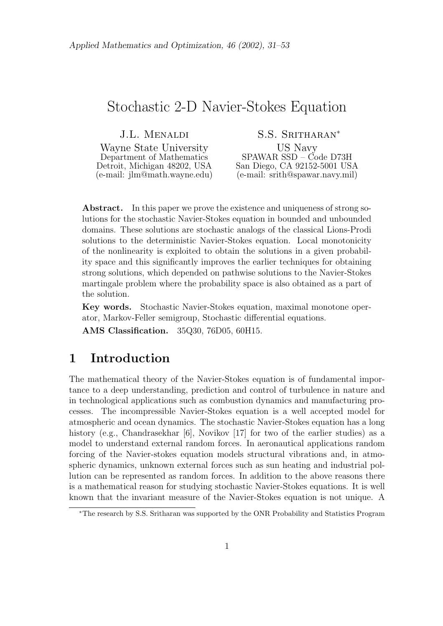## Stochastic 2-D Navier-Stokes Equation

J.L. Menaldi Wayne State University Department of Mathematics Detroit, Michigan 48202, USA (e-mail: jlm@math.wayne.edu)

S.S. Sritharan*<sup>∗</sup>* US Navy SPAWAR SSD – Code D73H San Diego, CA 92152-5001 USA (e-mail: srith@spawar.navy.mil)

**Abstract.** In this paper we prove the existence and uniqueness of strong solutions for the stochastic Navier-Stokes equation in bounded and unbounded domains. These solutions are stochastic analogs of the classical Lions-Prodi solutions to the deterministic Navier-Stokes equation. Local monotonicity of the nonlinearity is exploited to obtain the solutions in a given probability space and this significantly improves the earlier techniques for obtaining strong solutions, which depended on pathwise solutions to the Navier-Stokes martingale problem where the probability space is also obtained as a part of the solution.

**Key words.** Stochastic Navier-Stokes equation, maximal monotone operator, Markov-Feller semigroup, Stochastic differential equations.

**AMS Classification.** 35Q30, 76D05, 60H15.

## **1 Introduction**

The mathematical theory of the Navier-Stokes equation is of fundamental importance to a deep understanding, prediction and control of turbulence in nature and in technological applications such as combustion dynamics and manufacturing processes. The incompressible Navier-Stokes equation is a well accepted model for atmospheric and ocean dynamics. The stochastic Navier-Stokes equation has a long history (e.g., Chandrasekhar [6], Novikov [17] for two of the earlier studies) as a model to understand external random forces. In aeronautical applications random forcing of the Navier-stokes equation models structural vibrations and, in atmospheric dynamics, unknown external forces such as sun heating and industrial pollution can be represented as random forces. In addition to the above reasons there is a mathematical reason for studying stochastic Navier-Stokes equations. It is well known that the invariant measure of the Navier-Stokes equation is not unique. A

*<sup>∗</sup>*The research by S.S. Sritharan was supported by the ONR Probability and Statistics Program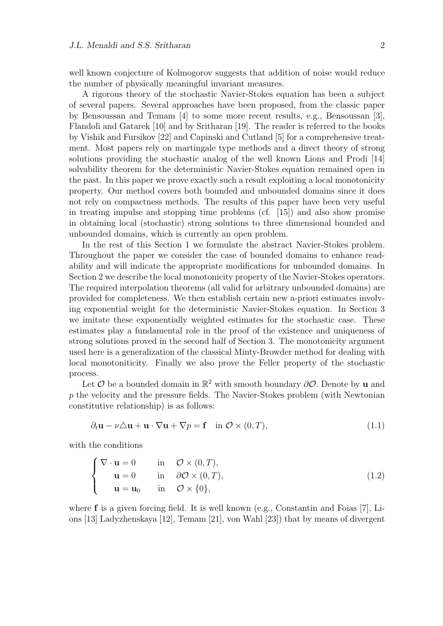well known conjecture of Kolmogorov suggests that addition of noise would reduce the number of physically meaningful invariant measures.

A rigorous theory of the stochastic Navier-Stokes equation has been a subject of several papers. Several approaches have been proposed, from the classic paper by Bensoussan and Temam [4] to some more recent results, e.g., Bensoussan [3], Flandoli and Gatarek [10] and by Sritharan [19]. The reader is referred to the books by Vishik and Fursikov [22] and Capinski and Cutland [5] for a comprehensive treatment. Most papers rely on martingale type methods and a direct theory of strong solutions providing the stochastic analog of the well known Lions and Prodi [14] solvability theorem for the deterministic Navier-Stokes equation remained open in the past. In this paper we prove exactly such a result exploiting a local monotonicity property. Our method covers both bounded and unbounded domains since it does not rely on compactness methods. The results of this paper have been very useful in treating impulse and stopping time problems (cf. [15]) and also show promise in obtaining local (stochastic) strong solutions to three dimensional bounded and unbounded domains, which is currently an open problem.

In the rest of this Section 1 we formulate the abstract Navier-Stokes problem. Throughout the paper we consider the case of bounded domains to enhance readability and will indicate the appropriate modifications for unbounded domains. In Section 2 we describe the local monotonicity property of the Navier-Stokes operators. The required interpolation theorems (all valid for arbitrary unbounded domains) are provided for completeness. We then establish certain new a-priori estimates involving exponential weight for the deterministic Navier-Stokes equation. In Section 3 we imitate these exponentially weighted estimates for the stochastic case. These estimates play a fundamental role in the proof of the existence and uniqueness of strong solutions proved in the second half of Section 3. The monotonicity argument used here is a generalization of the classical Minty-Browder method for dealing with local monotoniticity. Finally we also prove the Feller property of the stochastic process.

Let  $\mathcal O$  be a bounded domain in  $\mathbb R^2$  with smooth boundary  $\partial \mathcal O$ . Denote by **u** and *p* the velocity and the pressure fields. The Navier-Stokes problem (with Newtonian constitutive relationship) is as follows:

$$
\partial_t \mathbf{u} - \nu \triangle \mathbf{u} + \mathbf{u} \cdot \nabla \mathbf{u} + \nabla p = \mathbf{f} \quad \text{in } \mathcal{O} \times (0, T), \tag{1.1}
$$

with the conditions

$$
\begin{cases}\n\nabla \cdot \mathbf{u} = 0 & \text{in } \mathcal{O} \times (0, T), \\
\mathbf{u} = 0 & \text{in } \partial \mathcal{O} \times (0, T), \\
\mathbf{u} = \mathbf{u}_0 & \text{in } \mathcal{O} \times \{0\},\n\end{cases}
$$
\n(1.2)

where **f** is a given forcing field. It is well known (e.g., Constantin and Foias [7], Lions [13] Ladyzhenskaya [12], Temam [21], von Wahl [23]) that by means of divergent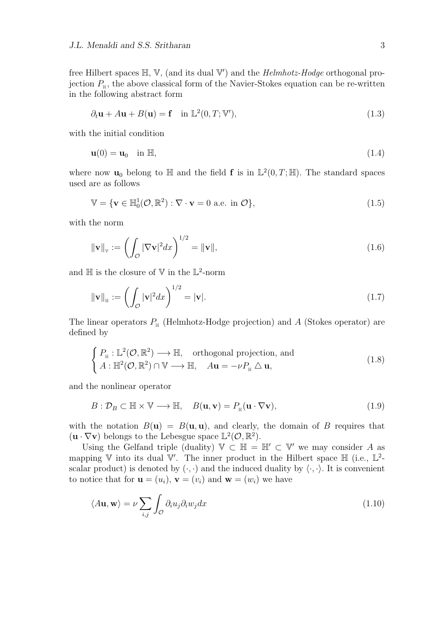free Hilbert spaces H*,* V*,* (and its dual V *′* ) and the *Helmhotz-Hodge* orthogonal projection  $P_{\text{H}}$ , the above classical form of the Navier-Stokes equation can be re-written in the following abstract form

$$
\partial_t \mathbf{u} + A \mathbf{u} + B(\mathbf{u}) = \mathbf{f} \quad \text{in } \mathbb{L}^2(0, T; \mathbb{V}'), \tag{1.3}
$$

with the initial condition

$$
\mathbf{u}(0) = \mathbf{u}_0 \quad \text{in } \mathbb{H},\tag{1.4}
$$

where now  $\mathbf{u}_0$  belong to  $\mathbb{H}$  and the field **f** is in  $\mathbb{L}^2(0,T;\mathbb{H})$ . The standard spaces used are as follows

$$
\mathbb{V} = \{ \mathbf{v} \in \mathbb{H}_0^1(\mathcal{O}, \mathbb{R}^2) : \nabla \cdot \mathbf{v} = 0 \text{ a.e. in } \mathcal{O} \},
$$
\n(1.5)

with the norm

$$
\|\mathbf{v}\|_{\mathbf{v}} := \left(\int_{\mathcal{O}} |\nabla \mathbf{v}|^2 dx\right)^{1/2} = \|\mathbf{v}\|,\tag{1.6}
$$

and  $\mathbb H$  is the closure of  $\mathbb V$  in the  $\mathbb L^2$ -norm

$$
\|\mathbf{v}\|_{\mathbb{H}} := \left(\int_{\mathcal{O}} |\mathbf{v}|^2 dx\right)^{1/2} = |\mathbf{v}|.\tag{1.7}
$$

The linear operators  $P_{\text{H}}$  (Helmhotz-Hodge projection) and *A* (Stokes operator) are defined by

$$
\begin{cases}\nP_{\mathbb{H}} : \mathbb{L}^{2}(\mathcal{O}, \mathbb{R}^{2}) \longrightarrow \mathbb{H}, & \text{orthogonal projection, and} \\
A : \mathbb{H}^{2}(\mathcal{O}, \mathbb{R}^{2}) \cap \mathbb{V} \longrightarrow \mathbb{H}, & A\mathbf{u} = -\nu P_{\mathbb{H}} \triangle \mathbf{u},\n\end{cases}
$$
\n(1.8)

and the nonlinear operator

$$
B: \mathcal{D}_B \subset \mathbb{H} \times \mathbb{V} \longrightarrow \mathbb{H}, \quad B(\mathbf{u}, \mathbf{v}) = P_{\mathbb{H}}(\mathbf{u} \cdot \nabla \mathbf{v}), \tag{1.9}
$$

with the notation  $B(\mathbf{u}) = B(\mathbf{u}, \mathbf{u})$ , and clearly, the domain of *B* requires that  $(\mathbf{u} \cdot \nabla \mathbf{v})$  belongs to the Lebesgue space  $\mathbb{L}^2(\mathcal{O}, \mathbb{R}^2)$ .

Using the Gelfand triple (duality)  $\mathbb{V} \subset \mathbb{H} = \mathbb{H}' \subset \mathbb{V}'$  we may consider A as mapping  $\mathbb V$  into its dual  $\mathbb V'$ . The inner product in the Hilbert space  $\mathbb H$  (i.e.,  $\mathbb L^2$ scalar product) is denoted by  $(\cdot, \cdot)$  and the induced duality by  $\langle \cdot, \cdot \rangle$ . It is convenient to notice that for  $\mathbf{u} = (u_i)$ ,  $\mathbf{v} = (v_i)$  and  $\mathbf{w} = (w_i)$  we have

$$
\langle A\mathbf{u}, \mathbf{w} \rangle = \nu \sum_{i,j} \int_{\mathcal{O}} \partial_i u_j \partial_i w_j dx \tag{1.10}
$$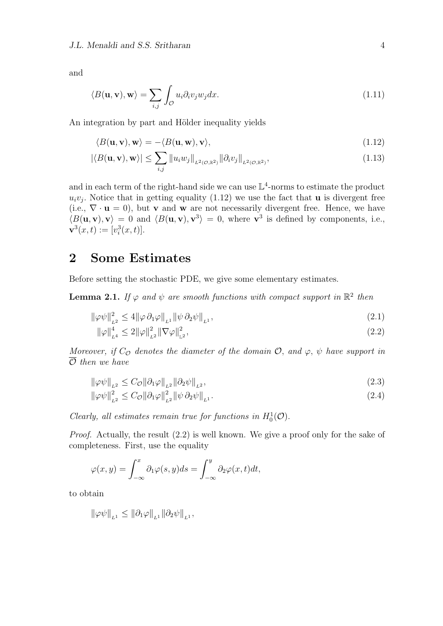and

$$
\langle B(\mathbf{u}, \mathbf{v}), \mathbf{w} \rangle = \sum_{i,j} \int_{\mathcal{O}} u_i \partial_i v_j w_j dx. \tag{1.11}
$$

An integration by part and Hölder inequality yields

$$
\langle B(\mathbf{u}, \mathbf{v}), \mathbf{w} \rangle = -\langle B(\mathbf{u}, \mathbf{w}), \mathbf{v} \rangle, \tag{1.12}
$$

$$
|\langle B(\mathbf{u}, \mathbf{v}), \mathbf{w} \rangle| \leq \sum_{i,j} ||u_i w_j||_{L^2(\mathcal{O}, \mathbb{R}^2)} ||\partial_i v_j||_{L^2(\mathcal{O}, \mathbb{R}^2)},
$$
\n(1.13)

and in each term of the right-hand side we can use  $\mathbb{L}^4$ -norms to estimate the product  $u_i v_j$ . Notice that in getting equality (1.12) we use the fact that **u** is divergent free (i.e.,  $\nabla \cdot \mathbf{u} = 0$ ), but **v** and **w** are not necessarily divergent free. Hence, we have  $\langle B(\mathbf{u}, \mathbf{v}), \mathbf{v} \rangle = 0$  and  $\langle B(\mathbf{u}, \mathbf{v}), \mathbf{v}^3 \rangle = 0$ , where  $\mathbf{v}^3$  is defined by components, i.e.,  $\mathbf{v}^3(x,t) := [v_i^3(x,t)].$ 

## **2 Some Estimates**

Before setting the stochastic PDE, we give some elementary estimates.

**Lemma 2.1.** If  $\varphi$  and  $\psi$  are smooth functions with compact support in  $\mathbb{R}^2$  then

$$
\|\varphi\psi\|_{L^2}^2 \le 4 \|\varphi \,\partial_1\varphi\|_{L^1} \|\psi \,\partial_2\psi\|_{L^1},\tag{2.1}
$$

$$
\|\varphi\|_{L^{4}}^{4} \le 2\|\varphi\|_{L^{2}}^{2} \|\nabla\varphi\|_{L^{2}}^{2},\tag{2.2}
$$

*Moreover, if*  $C_{\mathcal{O}}$  *denotes the diameter of the domain*  $\mathcal{O}$ *, and*  $\varphi$ *,*  $\psi$  *have support in O then we have*

$$
\|\varphi\psi\|_{L^2} \le C_{\mathcal{O}} \|\partial_1\varphi\|_{L^2} \|\partial_2\psi\|_{L^2},\tag{2.3}
$$

$$
\|\varphi\psi\|_{_{L^2}}^2 \le C_{\mathcal{O}} \|\partial_1\varphi\|_{_{L^2}}^2 \|\psi\,\partial_2\psi\|_{_{L^1}}.
$$
\n
$$
(2.4)
$$

*Clearly, all estimates remain true for functions in*  $H_0^1(\mathcal{O})$ .

*Proof.* Actually, the result  $(2.2)$  is well known. We give a proof only for the sake of completeness. First, use the equality

$$
\varphi(x,y) = \int_{-\infty}^{x} \partial_1 \varphi(s,y) ds = \int_{-\infty}^{y} \partial_2 \varphi(x,t) dt,
$$

to obtain

$$
\|\varphi\psi\|_{L^1} \leq \|\partial_1\varphi\|_{L^1} \|\partial_2\psi\|_{L^1},
$$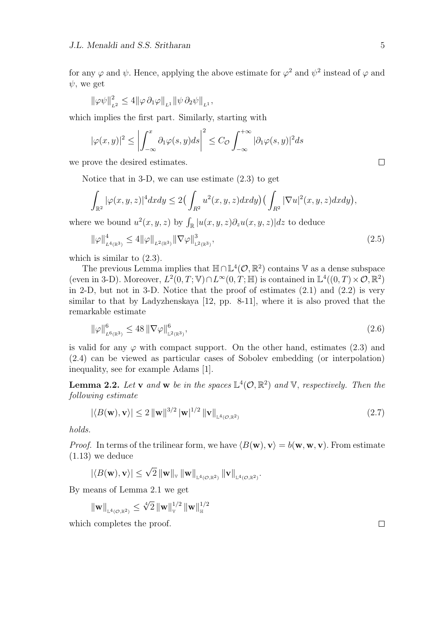for any  $\varphi$  and  $\psi$ . Hence, applying the above estimate for  $\varphi^2$  and  $\psi^2$  instead of  $\varphi$  and *ψ,* we get

*,*

$$
\|\varphi\psi\|_{_{L^2}}^2\leq 4\|\varphi\,\partial_1\varphi\|_{_{L^1}}\|\psi\,\partial_2\psi\|_{_{L^1}}
$$

which implies the first part. Similarly, starting with

$$
|\varphi(x,y)|^2 \le \left| \int_{-\infty}^x \partial_1 \varphi(s,y) ds \right|^2 \le C_{\mathcal{O}} \int_{-\infty}^{+\infty} |\partial_1 \varphi(s,y)|^2 ds
$$

we prove the desired estimates.

Notice that in 3-D, we can use estimate (2.3) to get

$$
\int_{\mathbb{R}^2} |\varphi(x,y,z)|^4 dx dy \leq 2\left(\int_{R^2} u^2(x,y,z) dx dy\right) \left(\int_{R^2} |\nabla u|^2(x,y,z) dx dy\right),
$$

where we bound  $u^2(x, y, z)$  by  $\int_{\mathbb{R}} |u(x, y, z) \partial_z u(x, y, z)| dz$  to deduce

$$
\|\varphi\|_{L^{4}(\mathbb{R}^{3})}^{4} \le 4 \|\varphi\|_{L^{2}(\mathbb{R}^{3})} \|\nabla \varphi\|_{L^{2}(\mathbb{R}^{3})}^{3},\tag{2.5}
$$

which is similar to  $(2.3)$ .

The previous Lemma implies that  $\mathbb{H} \cap \mathbb{L}^4(\mathcal{O}, \mathbb{R}^2)$  contains V as a dense subspace (even in 3-D). Moreover,  $L^2(0,T;\mathbb{V}) \cap L^\infty(0,T;\mathbb{H})$  is contained in  $\mathbb{L}^4((0,T) \times \mathcal{O}, \mathbb{R}^2)$ in 2-D, but not in 3-D. Notice that the proof of estimates (2.1) and (2.2) is very similar to that by Ladyzhenskaya [12, pp. 8-11], where it is also proved that the remarkable estimate

$$
\|\varphi\|_{L^{6}(\mathbb{R}^{3})}^{6} \leq 48 \|\nabla \varphi\|_{L^{2}(\mathbb{R}^{3})}^{6},\tag{2.6}
$$

is valid for any  $\varphi$  with compact support. On the other hand, estimates (2.3) and (2.4) can be viewed as particular cases of Sobolev embedding (or interpolation) inequality, see for example Adams [1].

**Lemma 2.2.** Let **v** and **w** be in the spaces  $\mathbb{L}^4(\mathcal{O}, \mathbb{R}^2)$  and V, respectively. Then the *following estimate*

$$
|\langle B(\mathbf{w}), \mathbf{v} \rangle| \le 2 \|\mathbf{w}\|^{3/2} \|\mathbf{w}\|^{1/2} \|\mathbf{v}\|_{\mathbb{L}^{4}(\mathcal{O}, \mathbb{R}^{2})}
$$
(2.7)

*holds.*

*Proof.* In terms of the trilinear form, we have  $\langle B(\mathbf{w}), \mathbf{v} \rangle = b(\mathbf{w}, \mathbf{w}, \mathbf{v})$ . From estimate (1.13) we deduce

$$
|\langle B(\mathbf{w}), \mathbf{v} \rangle| \leq \sqrt{2} \, \|\mathbf{w}\|_{\mathbb{V}} \, \|\mathbf{w}\|_{\mathbb{L}^{4}(\mathcal{O}, \mathbb{R}^{2})} \, \|\mathbf{v}\|_{\mathbb{L}^{4}(\mathcal{O}, \mathbb{R}^{2})}.
$$

By means of Lemma 2.1 we get

*∥***w***∥* <sup>L</sup>4(*O,*R2) *≤ √*4 2 *∥***w***∥* 1*/*2  $^{\,1/2}_{\mathbb{V}}$   $\|\mathbf{w}\|_{\mathbb{H}}^{1/2}$ H

which completes the proof.

 $\Box$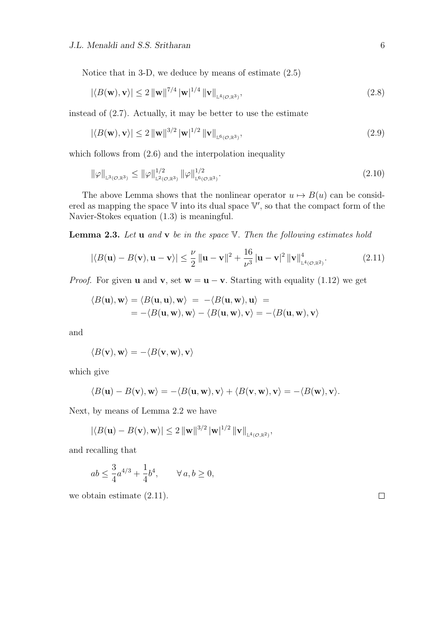Notice that in 3-D, we deduce by means of estimate (2.5)

$$
|\langle B(\mathbf{w}), \mathbf{v} \rangle| \le 2 \|\mathbf{w}\|^{7/4} \|\mathbf{w}\|^{1/4} \|\mathbf{v}\|_{\mathbb{L}^{4}(\mathcal{O}, \mathbb{R}^{3})},\tag{2.8}
$$

instead of (2.7). Actually, it may be better to use the estimate

$$
|\langle B(\mathbf{w}), \mathbf{v} \rangle| \le 2 \|\mathbf{w}\|^{3/2} \|\mathbf{w}\|^{1/2} \|\mathbf{v}\|_{L^{6}(\mathcal{O}, \mathbb{R}^{3})},\tag{2.9}
$$

which follows from  $(2.6)$  and the interpolation inequality

$$
\|\varphi\|_{\mathbb{L}^{3}(\mathcal{O},\mathbb{R}^{3})} \leq \|\varphi\|_{\mathbb{L}^{2}(\mathcal{O},\mathbb{R}^{3})}^{1/2} \|\varphi\|_{\mathbb{L}^{6}(\mathcal{O},\mathbb{R}^{3})}^{1/2}.
$$
\n(2.10)

The above Lemma shows that the nonlinear operator  $u \mapsto B(u)$  can be considered as mapping the space  $V$  into its dual space  $V'$ , so that the compact form of the Navier-Stokes equation (1.3) is meaningful.

**Lemma 2.3.** *Let* **u** *and* **v** *be in the space* V*. Then the following estimates hold*

$$
|\langle B(\mathbf{u}) - B(\mathbf{v}), \mathbf{u} - \mathbf{v} \rangle| \le \frac{\nu}{2} \|\mathbf{u} - \mathbf{v}\|^2 + \frac{16}{\nu^3} |\mathbf{u} - \mathbf{v}|^2 \|\mathbf{v}\|_{\mathbb{L}^4(\mathcal{O}, \mathbb{R}^2)}^4.
$$
 (2.11)

*Proof.* For given **u** and **v**, set  $\mathbf{w} = \mathbf{u} - \mathbf{v}$ . Starting with equality (1.12) we get

$$
\langle B(\mathbf{u}), \mathbf{w} \rangle = \langle B(\mathbf{u}, \mathbf{u}), \mathbf{w} \rangle = -\langle B(\mathbf{u}, \mathbf{w}), \mathbf{u} \rangle =
$$
  
= -\langle B(\mathbf{u}, \mathbf{w}), \mathbf{w} \rangle - \langle B(\mathbf{u}, \mathbf{w}), \mathbf{v} \rangle = -\langle B(\mathbf{u}, \mathbf{w}), \mathbf{v} \rangle

and

$$
\langle B(\mathbf{v}),\mathbf{w}\rangle=-\langle B(\mathbf{v},\mathbf{w}),\mathbf{v}\rangle
$$

which give

$$
\langle B(\mathbf{u}) - B(\mathbf{v}), \mathbf{w} \rangle = -\langle B(\mathbf{u}, \mathbf{w}), \mathbf{v} \rangle + \langle B(\mathbf{v}, \mathbf{w}), \mathbf{v} \rangle = -\langle B(\mathbf{w}), \mathbf{v} \rangle.
$$

Next, by means of Lemma 2.2 we have

$$
|\langle B(\mathbf{u}) - B(\mathbf{v}), \mathbf{w} \rangle| \leq 2 ||\mathbf{w}||^{3/2} ||\mathbf{w}||^{1/2} ||\mathbf{v}||_{\mathbb{L}^{4}(\mathcal{O}, \mathbb{R}^{2})},
$$

and recalling that

$$
ab \le \frac{3}{4}a^{4/3} + \frac{1}{4}b^4, \qquad \forall \, a, b \ge 0,
$$

we obtain estimate (2.11).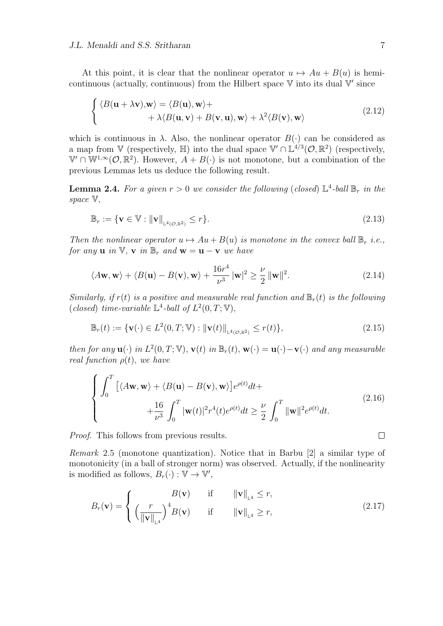At this point, it is clear that the nonlinear operator  $u \mapsto Au + B(u)$  is hemicontinuous (actually, continuous) from the Hilbert space V into its dual V *′* since

$$
\begin{cases} \langle B(\mathbf{u} + \lambda \mathbf{v}), \mathbf{w} \rangle = \langle B(\mathbf{u}), \mathbf{w} \rangle + \\ + \lambda \langle B(\mathbf{u}, \mathbf{v}) + B(\mathbf{v}, \mathbf{u}), \mathbf{w} \rangle + \lambda^2 \langle B(\mathbf{v}), \mathbf{w} \rangle \end{cases}
$$
(2.12)

which is continuous in  $\lambda$ . Also, the nonlinear operator  $B(\cdot)$  can be considered as a map from  $\mathbb{V}$  (respectively,  $\mathbb{H}$ ) into the dual space  $\mathbb{V}' \cap \mathbb{L}^{4/3}(\mathcal{O}, \mathbb{R}^2)$  (respectively,  $\mathbb{V}' \cap \mathbb{W}^{1,\infty}(\mathcal{O},\mathbb{R}^2)$ . However,  $A + B(\cdot)$  is not monotone, but a combination of the previous Lemmas lets us deduce the following result.

**Lemma 2.4.** For a given  $r > 0$  we consider the following (closed)  $\mathbb{L}^4$ -ball  $\mathbb{B}_r$  in the *space* V*,*

$$
\mathbb{B}_r := \{ \mathbf{v} \in \mathbb{V} : \|\mathbf{v}\|_{\mathbb{L}^4(\mathcal{O}, \mathbb{R}^2)} \le r \}. \tag{2.13}
$$

*Then the nonlinear operator*  $u \mapsto Au + B(u)$  *is monotone in the convex ball*  $\mathbb{B}_r$  *i.e.*, *for any* **u** *in*  $\mathbb{V}$ *,* **v** *in*  $\mathbb{B}_r$  *and*  $\mathbf{w} = \mathbf{u} - \mathbf{v}$  *we have* 

$$
\langle A\mathbf{w}, \mathbf{w} \rangle + \langle B(\mathbf{u}) - B(\mathbf{v}), \mathbf{w} \rangle + \frac{16r^4}{\nu^3} |\mathbf{w}|^2 \ge \frac{\nu}{2} ||\mathbf{w}||^2.
$$
 (2.14)

*Similarly, if*  $r(t)$  *is a positive and measurable real function and*  $\mathbb{B}_r(t)$  *is the following* (*closed*) *time-variable*  $\mathbb{L}^4$ -*ball of*  $L^2(0,T;\mathbb{V})$ *,* 

$$
\mathbb{B}_r(t) := \{ \mathbf{v}(\cdot) \in L^2(0, T; \mathbb{V}) : \|\mathbf{v}(t)\|_{\mathbb{L}^4(\mathcal{O}, \mathbb{R}^2)} \le r(t) \},\tag{2.15}
$$

then for any  $\mathbf{u}(\cdot)$  in  $L^2(0,T;\mathbb{V}), \mathbf{v}(t)$  in  $\mathbb{B}_r(t), \mathbf{w}(\cdot) = \mathbf{u}(\cdot) - \mathbf{v}(\cdot)$  and any measurable *real function*  $\rho(t)$ *, we have* 

$$
\begin{cases}\n\int_0^T \left[ \langle A\mathbf{w}, \mathbf{w} \rangle + \langle B(\mathbf{u}) - B(\mathbf{v}), \mathbf{w} \rangle \right] e^{\rho(t)} dt + \n+ \frac{16}{\nu^3} \int_0^T |\mathbf{w}(t)|^2 r^4(t) e^{\rho(t)} dt \geq \frac{\nu}{2} \int_0^T \|\mathbf{w}\|^2 e^{\rho(t)} dt.\n\end{cases} \tag{2.16}
$$

*Proof.* This follows from previous results.

*Remark* 2.5 (monotone quantization)*.* Notice that in Barbu [2] a similar type of monotonicity (in a ball of stronger norm) was observed. Actually, if the nonlinearity is modified as follows,  $B_r(\cdot) : \mathbb{V} \to \mathbb{V}'$ ,

$$
B_r(\mathbf{v}) = \begin{cases} B(\mathbf{v}) & \text{if} & ||\mathbf{v}||_{\mathbb{L}^4} \le r, \\ \left(\frac{r}{||\mathbf{v}||_{\mathbb{L}^4}}\right)^4 B(\mathbf{v}) & \text{if} & ||\mathbf{v}||_{\mathbb{L}^4} \ge r, \end{cases}
$$
(2.17)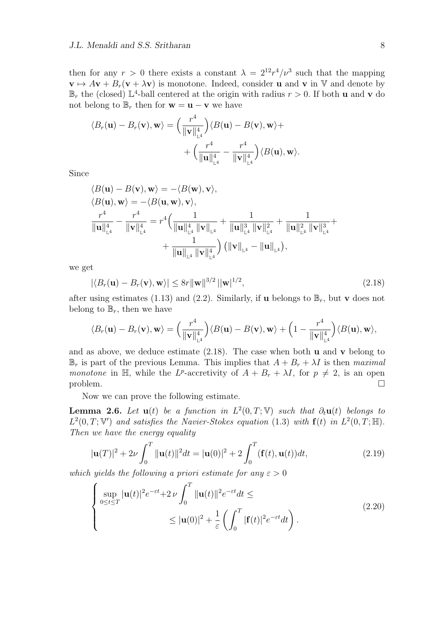then for any  $r > 0$  there exists a constant  $\lambda = 2^{12}r^4/\nu^3$  such that the mapping  $\mathbf{v} \mapsto A\mathbf{v} + B_r(\mathbf{v} + \lambda \mathbf{v})$  is monotone. Indeed, consider **u** and **v** in V and denote by  $\mathbb{B}_r$  the (closed)  $\mathbb{L}^4$ -ball centered at the origin with radius  $r > 0$ . If both **u** and **v** do not belong to  $\mathbb{B}_r$  then for  $\mathbf{w} = \mathbf{u} - \mathbf{v}$  we have

$$
\langle B_r(\mathbf{u}) - B_r(\mathbf{v}), \mathbf{w} \rangle = \left( \frac{r^4}{\|\mathbf{v}\|_{\mathbb{L}^4}^4} \right) \langle B(\mathbf{u}) - B(\mathbf{v}), \mathbf{w} \rangle + + \left( \frac{r^4}{\|\mathbf{u}\|_{\mathbb{L}^4}^4} - \frac{r^4}{\|\mathbf{v}\|_{\mathbb{L}^4}^4} \right) \langle B(\mathbf{u}), \mathbf{w} \rangle.
$$

Since

$$
\langle B(\mathbf{u}) - B(\mathbf{v}), \mathbf{w} \rangle = -\langle B(\mathbf{w}), \mathbf{v} \rangle, \n\langle B(\mathbf{u}), \mathbf{w} \rangle = -\langle B(\mathbf{u}, \mathbf{w}), \mathbf{v} \rangle, \n\frac{r^4}{\|\mathbf{u}\|_{\mathbb{L}^4}^4} - \frac{r^4}{\|\mathbf{v}\|_{\mathbb{L}^4}^4} = r^4 \Big( \frac{1}{\|\mathbf{u}\|_{\mathbb{L}^4}^4 \|\mathbf{v}\|_{\mathbb{L}^4}} + \frac{1}{\|\mathbf{u}\|_{\mathbb{L}^4}^3 \|\mathbf{v}\|_{\mathbb{L}^4}^2} + \frac{1}{\|\mathbf{u}\|_{\mathbb{L}^4}^2 \|\mathbf{v}\|_{\mathbb{L}^4}^3} + \n+ \frac{1}{\|\mathbf{u}\|_{\mathbb{L}^4} \|\mathbf{v}\|_{\mathbb{L}^4}^4} \Big) (\|\mathbf{v}\|_{\mathbb{L}^4} - \|\mathbf{u}\|_{\mathbb{L}^4}),
$$

we get

$$
|\langle B_r(\mathbf{u}) - B_r(\mathbf{v}), \mathbf{w} \rangle| \le 8r \|\mathbf{w}\|^{3/2} \|\mathbf{w}\|^{1/2}, \tag{2.18}
$$

after using estimates (1.13) and (2.2). Similarly, if **u** belongs to  $\mathbb{B}_r$ , but **v** does not belong to  $\mathbb{B}_r$ , then we have

$$
\langle B_r(\mathbf{u}) - B_r(\mathbf{v}), \mathbf{w} \rangle = \left(\frac{r^4}{\|\mathbf{v}\|_{\mathbb{L}^4}^4}\right) \langle B(\mathbf{u}) - B(\mathbf{v}), \mathbf{w} \rangle + \left(1 - \frac{r^4}{\|\mathbf{v}\|_{\mathbb{L}^4}^4}\right) \langle B(\mathbf{u}), \mathbf{w} \rangle,
$$

and as above, we deduce estimate  $(2.18)$ . The case when both **u** and **v** belong to  $\mathbb{B}_r$  is part of the previous Lemma. This implies that  $A + B_r + \lambda I$  is then *maximal monotone* in  $\mathbb{H}$ , while the *L*<sup>*p*</sup>-accretivity of  $A + B_r + \lambda I$ , for  $p \neq 2$ , is an open  $\Box$ 

Now we can prove the following estimate.

**Lemma 2.6.** *Let*  $\mathbf{u}(t)$  *be a function in*  $L^2(0,T;\mathbb{V})$  *such that*  $\partial_t \mathbf{u}(t)$  *belongs to*  $L^2(0,T;\mathbb{V}')$  and satisfies the Navier-Stokes equation (1.3) with  $\mathbf{f}(t)$  in  $L^2(0,T;\mathbb{H})$ . *Then we have the energy equality*

$$
|\mathbf{u}(T)|^2 + 2\nu \int_0^T \|\mathbf{u}(t)\|^2 dt = |\mathbf{u}(0)|^2 + 2 \int_0^T (\mathbf{f}(t), \mathbf{u}(t)) dt,
$$
\n(2.19)

*which yields the following a priori estimate for any*  $\varepsilon > 0$ 

$$
\begin{cases} \sup_{0 \le t \le T} |\mathbf{u}(t)|^2 e^{-\varepsilon t} + 2 \nu \int_0^T \|\mathbf{u}(t)\|^2 e^{-\varepsilon t} dt \le \\ \le |\mathbf{u}(0)|^2 + \frac{1}{\varepsilon} \left( \int_0^T |\mathbf{f}(t)|^2 e^{-\varepsilon t} dt \right). \end{cases} (2.20)
$$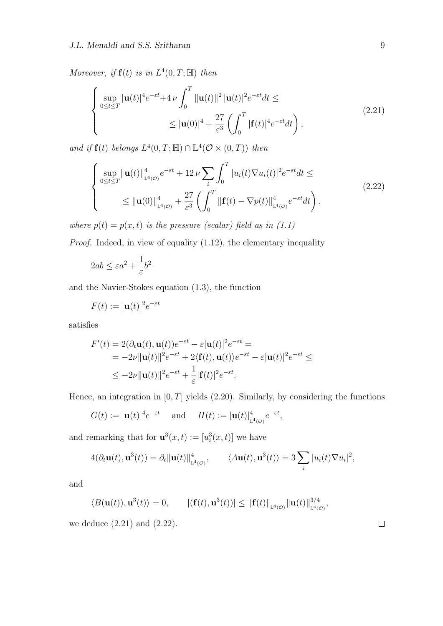*Moreover, if*  $f(t)$  *is in*  $L^4(0, T; \mathbb{H})$  *then* 

$$
\begin{cases} \sup_{0 \le t \le T} |\mathbf{u}(t)|^4 e^{-\varepsilon t} + 4 \nu \int_0^T \|\mathbf{u}(t)\|^2 |\mathbf{u}(t)|^2 e^{-\varepsilon t} dt \le \\ \le |\mathbf{u}(0)|^4 + \frac{27}{\varepsilon^3} \left( \int_0^T |\mathbf{f}(t)|^4 e^{-\varepsilon t} dt \right), \end{cases} (2.21)
$$

*and if*  $f(t)$  *belongs*  $L^4(0,T;\mathbb{H}) \cap \mathbb{L}^4(\mathcal{O} \times (0,T))$  *then* 

$$
\begin{cases} \sup_{0 \le t \le T} ||\mathbf{u}(t)||_{\mathbb{L}^{4}(\mathcal{O})}^{4} e^{-\varepsilon t} + 12 \nu \sum_{i} \int_{0}^{T} |u_{i}(t)\nabla u_{i}(t)|^{2} e^{-\varepsilon t} dt \le \\ \le ||\mathbf{u}(0)||_{\mathbb{L}^{4}(\mathcal{O})}^{4} + \frac{27}{\varepsilon^{3}} \left( \int_{0}^{T} ||\mathbf{f}(t) - \nabla p(t)||_{\mathbb{L}^{4}(\mathcal{O})}^{4} e^{-\varepsilon t} dt \right), \end{cases}
$$
(2.22)

*where*  $p(t) = p(x, t)$  *is the pressure (scalar) field as in (1.1)* 

*Proof.* Indeed, in view of equality (1.12), the elementary inequality

$$
2ab \le \varepsilon a^2 + \frac{1}{\varepsilon} b^2
$$

and the Navier-Stokes equation (1.3), the function

$$
F(t) := |\mathbf{u}(t)|^2 e^{-\varepsilon t}
$$

satisfies

$$
F'(t) = 2(\partial_t \mathbf{u}(t), \mathbf{u}(t))e^{-\varepsilon t} - \varepsilon |\mathbf{u}(t)|^2 e^{-\varepsilon t} =
$$
  
=  $-2\nu \|\mathbf{u}(t)\|^2 e^{-\varepsilon t} + 2\langle \mathbf{f}(t), \mathbf{u}(t) \rangle e^{-\varepsilon t} - \varepsilon |\mathbf{u}(t)|^2 e^{-\varepsilon t} \le$   
 $\le -2\nu \|\mathbf{u}(t)\|^2 e^{-\varepsilon t} + \frac{1}{\varepsilon} |\mathbf{f}(t)|^2 e^{-\varepsilon t}.$ 

Hence, an integration in [0*, T*] yields (2.20). Similarly, by considering the functions

$$
G(t) := |\mathbf{u}(t)|^4 e^{-\varepsilon t}
$$
 and  $H(t) := |\mathbf{u}(t)|^4_{L^4(\mathcal{O})} e^{-\varepsilon t}$ ,

and remarking that for  $\mathbf{u}^3(x,t) := [u_i^3(x,t)]$  we have

$$
4(\partial_t \mathbf{u}(t), \mathbf{u}^3(t)) = \partial_t \|\mathbf{u}(t)\|_{\mathbb{L}^4(\mathcal{O})}^4, \qquad \langle A\mathbf{u}(t), \mathbf{u}^3(t) \rangle = 3 \sum_i |u_i(t)\nabla u_i|^2,
$$

and

$$
\langle B(\mathbf{u}(t)), \mathbf{u}^3(t) \rangle = 0, \qquad |(\mathbf{f}(t), \mathbf{u}^3(t))| \leq ||\mathbf{f}(t)||_{\mathbb{L}^4(\mathcal{O})} ||\mathbf{u}(t)||_{\mathbb{L}^4(\mathcal{O})}^{3/4},
$$

we deduce (2.21) and (2.22).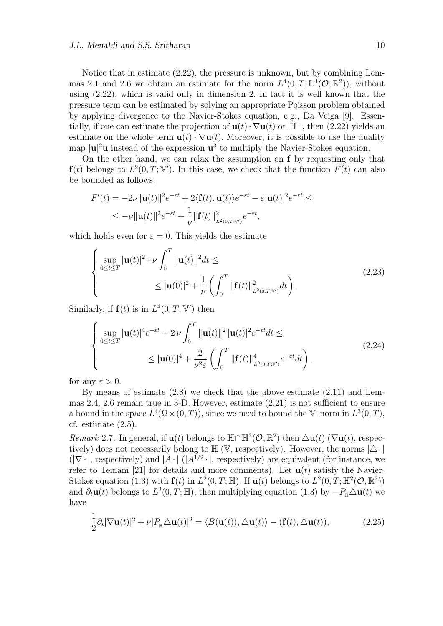Notice that in estimate (2.22), the pressure is unknown, but by combining Lemmas 2.1 and 2.6 we obtain an estimate for the norm  $L^4(0,T;\mathbb{L}^4(\mathcal{O};\mathbb{R}^2))$ , without using (2.22), which is valid only in dimension 2*.* In fact it is well known that the pressure term can be estimated by solving an appropriate Poisson problem obtained by applying divergence to the Navier-Stokes equation, e.g., Da Veiga [9]. Essentially, if one can estimate the projection of  $\mathbf{u}(t) \cdot \nabla \mathbf{u}(t)$  on  $\mathbb{H}^{\perp}$ , then (2.22) yields an estimate on the whole term  $\mathbf{u}(t) \cdot \nabla \mathbf{u}(t)$ . Moreover, it is possible to use the duality map  $|\mathbf{u}|^2\mathbf{u}$  instead of the expression  $\mathbf{u}^3$  to multiply the Navier-Stokes equation.

On the other hand, we can relax the assumption on **f** by requesting only that **f**(*t*) belongs to  $L^2(0,T;\mathbb{V}')$ . In this case, we check that the function  $F(t)$  can also be bounded as follows,

$$
F'(t) = -2\nu \|\mathbf{u}(t)\|^2 e^{-\varepsilon t} + 2\langle \mathbf{f}(t), \mathbf{u}(t) \rangle e^{-\varepsilon t} - \varepsilon |\mathbf{u}(t)|^2 e^{-\varepsilon t} \le
$$
  
 
$$
\leq -\nu \|\mathbf{u}(t)\|^2 e^{-\varepsilon t} + \frac{1}{\nu} \|\mathbf{f}(t)\|^2_{L^2(0,T;V')} e^{-\varepsilon t},
$$

which holds even for  $\varepsilon = 0$ . This yields the estimate

$$
\begin{cases} \sup_{0 \le t \le T} |\mathbf{u}(t)|^2 + \nu \int_0^T \|\mathbf{u}(t)\|^2 dt \le \\ \le |\mathbf{u}(0)|^2 + \frac{1}{\nu} \left( \int_0^T \|\mathbf{f}(t)\|_{L^2(0,T;V')}^2 dt \right). \end{cases} \tag{2.23}
$$

Similarly, if  $f(t)$  is in  $L^4(0,T; \mathbb{V}')$  then

$$
\begin{cases}\n\sup_{0 \le t \le T} |\mathbf{u}(t)|^4 e^{-\varepsilon t} + 2 \nu \int_0^T \|\mathbf{u}(t)\|^2 |\mathbf{u}(t)|^2 e^{-\varepsilon t} dt \le \n\le |\mathbf{u}(0)|^4 + \frac{2}{\nu^2 \varepsilon} \left( \int_0^T \|\mathbf{f}(t)\|_{L^2(0,T;V')}^4 e^{-\varepsilon t} dt \right),\n\end{cases} \tag{2.24}
$$

for any  $\varepsilon > 0$ .

By means of estimate (2.8) we check that the above estimate (2.11) and Lemmas 2.4, 2.6 remain true in 3-D. However, estimate (2.21) is not sufficient to ensure a bound in the space  $L^4(\Omega \times (0,T))$ , since we need to bound the V–norm in  $L^3(0,T)$ , cf. estimate (2.5).

*Remark* 2.7. In general, if **u**(*t*) belongs to  $\mathbb{H} \cap \mathbb{H}^2(\mathcal{O}, \mathbb{R}^2)$  then  $\Delta$ **u**(*t*) ( $\nabla$ **u**(*t*), respectively) does not necessarily belong to  $\mathbb{H}$  (V, respectively). However, the norms  $|\triangle \cdot|$  $(|\nabla \cdot |$ , respectively) and  $|A \cdot | (A^{1/2} \cdot |)$ , respectively) are equivalent (for instance, we refer to Temam [21] for details and more comments). Let  $\mathbf{u}(t)$  satisfy the Navier-Stokes equation (1.3) with  $f(t)$  in  $L^2(0,T;\mathbb{H})$ . If  $u(t)$  belongs to  $L^2(0,T;\mathbb{H}^2(\mathcal{O},\mathbb{R}^2))$ and  $\partial_t \mathbf{u}(t)$  belongs to  $L^2(0,T;\mathbb{H})$ , then multiplying equation (1.3) by  $-P_{\mathbb{H}}\Delta\mathbf{u}(t)$  we have

$$
\frac{1}{2}\partial_t |\nabla \mathbf{u}(t)|^2 + \nu |P_{\mathbb{H}} \triangle \mathbf{u}(t)|^2 = \langle B(\mathbf{u}(t)), \triangle \mathbf{u}(t) \rangle - (\mathbf{f}(t), \triangle \mathbf{u}(t)),\tag{2.25}
$$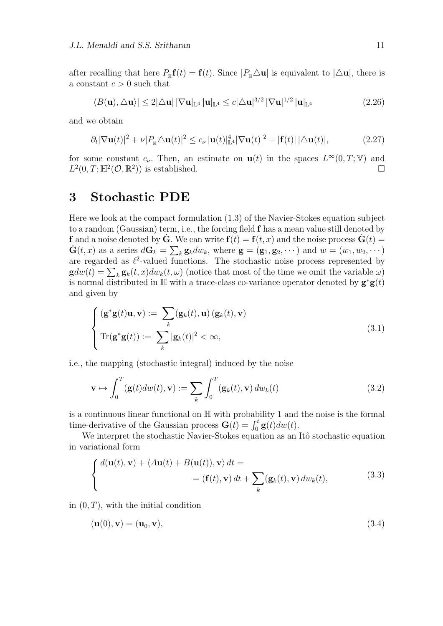after recalling that here  $P_{\text{H}}\mathbf{f}(t) = \mathbf{f}(t)$ . Since  $|P_{\text{H}}\Delta\mathbf{u}|$  is equivalent to  $|\Delta\mathbf{u}|$ , there is a constant  $c > 0$  such that

$$
|\langle B(\mathbf{u}), \triangle \mathbf{u} \rangle| \le 2|\triangle \mathbf{u}| |\nabla \mathbf{u}|_{\mathbb{L}^4} |\mathbf{u}|_{\mathbb{L}^4} \le c|\triangle \mathbf{u}|^{3/2} |\nabla \mathbf{u}|^{1/2} |\mathbf{u}|_{\mathbb{L}^4}
$$
(2.26)

and we obtain

$$
\partial_t |\nabla \mathbf{u}(t)|^2 + \nu |P_{\mathbb{H}} \Delta \mathbf{u}(t)|^2 \le c_\nu |\mathbf{u}(t)|_{\mathbb{L}^4}^4 |\nabla \mathbf{u}(t)|^2 + |\mathbf{f}(t)| |\Delta \mathbf{u}(t)|,\tag{2.27}
$$

for some constant  $c_{\nu}$ . Then, an estimate on  $\mathbf{u}(t)$  in the spaces  $L^{\infty}(0,T;\mathbb{V})$  and  $L^2(0,T;\mathbb{H}^2(\mathcal{O},\mathbb{R}^2))$  is established.

## **3 Stochastic PDE**

Here we look at the compact formulation (1.3) of the Navier-Stokes equation subject to a random (Gaussian) term, i.e., the forcing field **f** has a mean value still denoted by **f** and a noise denoted by  $\dot{G}$ . We can write  $f(t) = f(t, x)$  and the noise process  $\dot{G}(t) =$  $\dot{\mathbf{G}}(t,x)$  as a series  $d\mathbf{G}_k = \sum_k \mathbf{g}_k dw_k$ , where  $\mathbf{g} = (\mathbf{g}_1, \mathbf{g}_2, \cdots)$  and  $w = (w_1, w_2, \cdots)$ are regarded as  $l^2$ -valued functions. The stochastic noise process represented by  $\mathbf{g}dw(t) = \sum_{k} \mathbf{g}_k(t, x)dw_k(t, \omega)$  (notice that most of the time we omit the variable  $\omega$ ) is normal distributed in  $\mathbb{H}$  with a trace-class co-variance operator denoted by  $\mathbf{g}^* \mathbf{g}(t)$ and given by

$$
\begin{cases}\n(\mathbf{g}^*\mathbf{g}(t)\mathbf{u}, \mathbf{v}) := \sum_k (\mathbf{g}_k(t), \mathbf{u}) (\mathbf{g}_k(t), \mathbf{v}) \\
\text{Tr}(\mathbf{g}^*\mathbf{g}(t)) := \sum_k |\mathbf{g}_k(t)|^2 < \infty,\n\end{cases} \tag{3.1}
$$

i.e., the mapping (stochastic integral) induced by the noise

$$
\mathbf{v} \mapsto \int_0^T (\mathbf{g}(t)dw(t), \mathbf{v}) := \sum_k \int_0^T (\mathbf{g}_k(t), \mathbf{v}) dw_k(t)
$$
(3.2)

is a continuous linear functional on H with probability 1 and the noise is the formal time-derivative of the Gaussian process  $\mathbf{G}(t) = \int_0^t \mathbf{g}(t)dw(t)$ .

We interpret the stochastic Navier-Stokes equation as an Itô stochastic equation in variational form

$$
\begin{cases} d(\mathbf{u}(t), \mathbf{v}) + \langle A\mathbf{u}(t) + B(\mathbf{u}(t)), \mathbf{v} \rangle dt = \\ = (\mathbf{f}(t), \mathbf{v}) dt + \sum_{k} (\mathbf{g}_k(t), \mathbf{v}) dw_k(t), \end{cases}
$$
(3.3)

in  $(0, T)$ , with the initial condition

$$
(\mathbf{u}(0), \mathbf{v}) = (\mathbf{u}_0, \mathbf{v}),\tag{3.4}
$$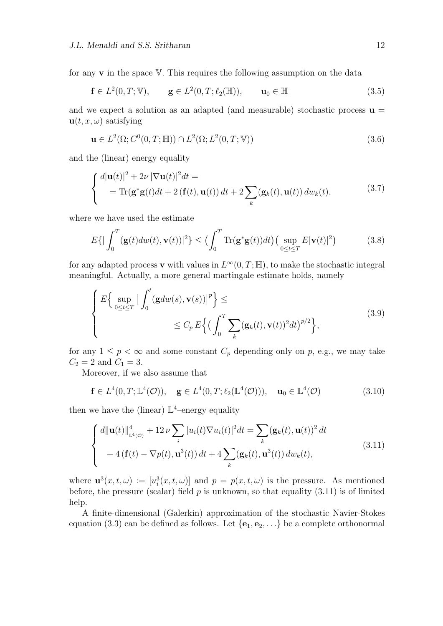for any **v** in the space V*.* This requires the following assumption on the data

$$
\mathbf{f} \in L^2(0, T; \mathbb{V}), \qquad \mathbf{g} \in L^2(0, T; \ell_2(\mathbb{H})), \qquad \mathbf{u}_0 \in \mathbb{H}
$$
\n
$$
(3.5)
$$

and we expect a solution as an adapted (and measurable) stochastic process  $\mathbf{u} =$  $\mathbf{u}(t, x, \omega)$  satisfying

$$
\mathbf{u} \in L^2(\Omega; C^0(0, T; \mathbb{H})) \cap L^2(\Omega; L^2(0, T; \mathbb{V}))
$$
\n
$$
(3.6)
$$

and the (linear) energy equality

$$
\begin{cases} d|\mathbf{u}(t)|^2 + 2\nu |\nabla \mathbf{u}(t)|^2 dt = \\ = \text{Tr}(\mathbf{g}^* \mathbf{g}(t) dt + 2 (\mathbf{f}(t), \mathbf{u}(t)) dt + 2 \sum_k (\mathbf{g}_k(t), \mathbf{u}(t)) dw_k(t), \end{cases} (3.7)
$$

where we have used the estimate

$$
E\{|\int_0^T (\mathbf{g}(t)dw(t), \mathbf{v}(t))|^2\} \leq \left(\int_0^T \text{Tr}(\mathbf{g}^* \mathbf{g}(t))dt\right) \left(\sup_{0 \leq t \leq T} E|\mathbf{v}(t)|^2\right) \tag{3.8}
$$

for any adapted process **v** with values in  $L^{\infty}(0,T;\mathbb{H})$ , to make the stochastic integral meaningful. Actually, a more general martingale estimate holds, namely

$$
\left\{\n\begin{aligned}\nE\Big\{\sup_{0\leq t\leq T} \big|\int_0^t (\mathbf{g}dw(s), \mathbf{v}(s)) \big|^p\Big\} &\leq \\
&\leq C_p \, E\Big\{\big(\int_0^T \sum_k (\mathbf{g}_k(t), \mathbf{v}(t))^2 dt\big)^{p/2}\Big\},\n\end{aligned}\n\right.\n\tag{3.9}
$$

for any  $1 \leq p < \infty$  and some constant  $C_p$  depending only on p, e.g., we may take  $C_2 = 2$  and  $C_1 = 3$ .

Moreover, if we also assume that

$$
\mathbf{f} \in L^4(0, T; \mathbb{L}^4(\mathcal{O})), \quad \mathbf{g} \in L^4(0, T; \ell_2(\mathbb{L}^4(\mathcal{O}))), \quad \mathbf{u}_0 \in \mathbb{L}^4(\mathcal{O})
$$
 (3.10)

then we have the (linear)  $\mathbb{L}^4$ -energy equality

$$
\begin{cases} d\|\mathbf{u}(t)\|_{\mathbb{L}^{4}(\mathcal{O})}^{4} + 12 \nu \sum_{i} |u_{i}(t)\nabla u_{i}(t)|^{2} dt = \sum_{k} (\mathbf{g}_{k}(t), \mathbf{u}(t))^{2} dt \\qquad + 4 (\mathbf{f}(t) - \nabla p(t), \mathbf{u}^{3}(t)) dt + 4 \sum_{k} (\mathbf{g}_{k}(t), \mathbf{u}^{3}(t)) dw_{k}(t), \end{cases}
$$
\n(3.11)

where  $\mathbf{u}^3(x,t,\omega) := [u_i^3(x,t,\omega)]$  and  $p = p(x,t,\omega)$  is the pressure. As mentioned before, the pressure (scalar) field  $p$  is unknown, so that equality  $(3.11)$  is of limited help.

A finite-dimensional (Galerkin) approximation of the stochastic Navier-Stokes equation (3.3) can be defined as follows. Let  $\{e_1, e_2, \ldots\}$  be a complete orthonormal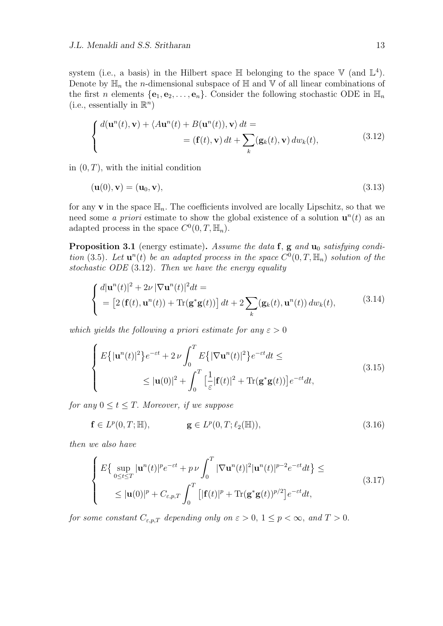system (i.e., a basis) in the Hilbert space  $\mathbb H$  belonging to the space  $\mathbb V$  (and  $\mathbb L^4$ ). Denote by  $\mathbb{H}_n$  the *n*-dimensional subspace of  $\mathbb{H}$  and  $\mathbb{V}$  of all linear combinations of the first *n* elements  $\{e_1, e_2, \ldots, e_n\}$ . Consider the following stochastic ODE in  $\mathbb{H}_n$ (i.e., essentially in  $\mathbb{R}^n$ )

$$
\begin{cases} d(\mathbf{u}^{n}(t), \mathbf{v}) + \langle A\mathbf{u}^{n}(t) + B(\mathbf{u}^{n}(t)), \mathbf{v} \rangle dt = \\qquad \qquad = (\mathbf{f}(t), \mathbf{v}) dt + \sum_{k} (\mathbf{g}_{k}(t), \mathbf{v}) dw_{k}(t), \end{cases} \tag{3.12}
$$

in  $(0, T)$ , with the initial condition

$$
(\mathbf{u}(0), \mathbf{v}) = (\mathbf{u}_0, \mathbf{v}),\tag{3.13}
$$

for any **v** in the space  $\mathbb{H}_n$ . The coefficients involved are locally Lipschitz, so that we need some *a priori* estimate to show the global existence of a solution  $\mathbf{u}^n(t)$  as an adapted process in the space  $C^0(0,T,\mathbb{H}_n)$ .

**Proposition 3.1** (energy estimate)**.** *Assume the data* **f***,* **g** *and* **u**<sup>0</sup> *satisfying condition* (3.5). Let  $\mathbf{u}^n(t)$  be an adapted process in the space  $C^0(0,T,\mathbb{H}_n)$  solution of the *stochastic ODE* (3.12)*. Then we have the energy equality*

$$
\begin{cases} d|\mathbf{u}^{n}(t)|^{2} + 2\nu |\nabla \mathbf{u}^{n}(t)|^{2} dt = \\ = \left[2\left(\mathbf{f}(t), \mathbf{u}^{n}(t)\right) + \text{Tr}(\mathbf{g}^{*}\mathbf{g}(t))\right] dt + 2\sum_{k} (\mathbf{g}_{k}(t), \mathbf{u}^{n}(t)) dw_{k}(t), \end{cases}
$$
(3.14)

*which yields the following a priori estimate for any*  $\varepsilon > 0$ 

$$
\begin{cases}\nE\{|{\bf u}^n(t)|^2\}e^{-\varepsilon t} + 2\nu \int_0^T E\{| \nabla {\bf u}^n(t)|^2\}e^{-\varepsilon t}dt \leq \\
\leq |{\bf u}(0)|^2 + \int_0^T \left[\frac{1}{\varepsilon} |{\bf f}(t)|^2 + \text{Tr}({\bf g}^*{\bf g}(t))\right]e^{-\varepsilon t}dt,\n\end{cases} \tag{3.15}
$$

*for any*  $0 \le t \le T$ *. Moreover, if we suppose* 

$$
\mathbf{f} \in L^p(0, T; \mathbb{H}), \qquad \mathbf{g} \in L^p(0, T; \ell_2(\mathbb{H})), \qquad (3.16)
$$

*then we also have*

$$
\begin{cases}\nE\{\sup_{0\leq t\leq T}|\mathbf{u}^{n}(t)|^{p}e^{-\varepsilon t}+p\nu\int_{0}^{T}|\nabla\mathbf{u}^{n}(t)|^{2}|\mathbf{u}^{n}(t)|^{p-2}e^{-\varepsilon t}dt\}\leq \\
\leq|\mathbf{u}(0)|^{p}+C_{\varepsilon,p,T}\int_{0}^{T}\left[|\mathbf{f}(t)|^{p}+\text{Tr}(\mathbf{g}^{*}\mathbf{g}(t))^{p/2}\right]e^{-\varepsilon t}dt,\n\end{cases}
$$
\n(3.17)

*for some constant*  $C_{\varepsilon,p,T}$  *depending only on*  $\varepsilon > 0$ ,  $1 \leq p < \infty$ , and  $T > 0$ .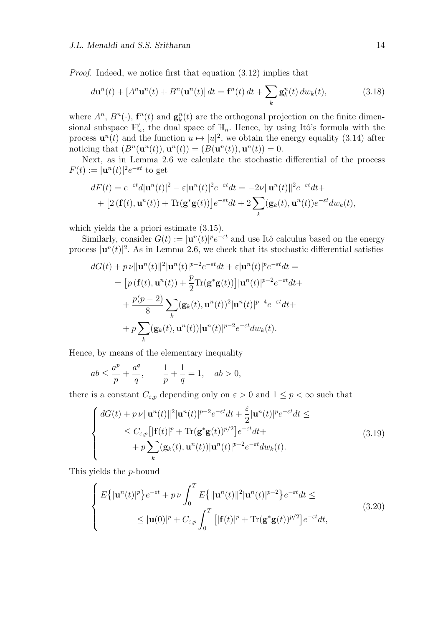*Proof.* Indeed, we notice first that equation (3.12) implies that

$$
d\mathbf{u}^{n}(t) + \left[A^{n}\mathbf{u}^{n}(t) + B^{n}(\mathbf{u}^{n}(t))\right]dt = \mathbf{f}^{n}(t) dt + \sum_{k} \mathbf{g}_{k}^{n}(t) dw_{k}(t), \qquad (3.18)
$$

where  $A^n$ ,  $B^n(\cdot)$ ,  $\mathbf{f}^n(t)$  and  $\mathbf{g}_k^n(t)$  are the orthogonal projection on the finite dimensional subspace  $\mathbb{H}'_n$ , the dual space of  $\mathbb{H}_n$ . Hence, by using Itô's formula with the process  $\mathbf{u}^n(t)$  and the function  $u \mapsto |u|^2$ , we obtain the energy equality (3.14) after noticing that  $(B^n(\mathbf{u}^n(t)), \mathbf{u}^n(t)) = (B(\mathbf{u}^n(t)), \mathbf{u}^n(t)) = 0.$ 

Next, as in Lemma 2.6 we calculate the stochastic differential of the process  $F(t) := |\mathbf{u}^n(t)|^2 e^{-\varepsilon t}$  to get

$$
dF(t) = e^{-\varepsilon t}d|\mathbf{u}^{n}(t)|^{2} - \varepsilon|\mathbf{u}^{n}(t)|^{2}e^{-\varepsilon t}dt = -2\nu\|\mathbf{u}^{n}(t)\|^{2}e^{-\varepsilon t}dt +
$$
  
+ 
$$
[2(\mathbf{f}(t), \mathbf{u}^{n}(t)) + \text{Tr}(\mathbf{g}^{*}\mathbf{g}(t))]e^{-\varepsilon t}dt + 2\sum_{k}(\mathbf{g}_{k}(t), \mathbf{u}^{n}(t))e^{-\varepsilon t}d\omega_{k}(t),
$$

which yields the a priori estimate (3.15).

Similarly, consider  $G(t) := |\mathbf{u}^n(t)|^p e^{-\varepsilon t}$  and use Itô calculus based on the energy process  $|\mathbf{u}^n(t)|^2$ . As in Lemma 2.6, we check that its stochastic differential satisfies

$$
dG(t) + p \nu ||\mathbf{u}^{n}(t)||^{2} |\mathbf{u}^{n}(t)|^{p-2} e^{-\varepsilon t} dt + \varepsilon |\mathbf{u}^{n}(t)|^{p} e^{-\varepsilon t} dt =
$$
  
\n
$$
= [p (\mathbf{f}(t), \mathbf{u}^{n}(t)) + \frac{p}{2} \text{Tr}(\mathbf{g}^{*} \mathbf{g}(t))] |\mathbf{u}^{n}(t)|^{p-2} e^{-\varepsilon t} dt +
$$
  
\n
$$
+ \frac{p(p-2)}{8} \sum_{k} (\mathbf{g}_{k}(t), \mathbf{u}^{n}(t))^{2} |\mathbf{u}^{n}(t)|^{p-4} e^{-\varepsilon t} dt +
$$
  
\n
$$
+ p \sum_{k} (\mathbf{g}_{k}(t), \mathbf{u}^{n}(t)) |\mathbf{u}^{n}(t)|^{p-2} e^{-\varepsilon t} dw_{k}(t).
$$

Hence, by means of the elementary inequality

$$
ab \leq \frac{a^p}{p} + \frac{a^q}{q}, \qquad \frac{1}{p} + \frac{1}{q} = 1, \quad ab > 0,
$$

there is a constant  $C_{\varepsilon,p}$  depending only on  $\varepsilon > 0$  and  $1 \leq p < \infty$  such that

$$
\begin{cases}\ndG(t) + p\,\nu \|\mathbf{u}^n(t)\|^2 |\mathbf{u}^n(t)|^{p-2} e^{-\varepsilon t} dt + \frac{\varepsilon}{2} |\mathbf{u}^n(t)|^p e^{-\varepsilon t} dt \le \\
\le C_{\varepsilon,p} \left[ |\mathbf{f}(t)|^p + \text{Tr}(\mathbf{g}^* \mathbf{g}(t))^{p/2} \right] e^{-\varepsilon t} dt + \\
+ p \sum_k (\mathbf{g}_k(t), \mathbf{u}^n(t)) |\mathbf{u}^n(t)|^{p-2} e^{-\varepsilon t} dw_k(t).\n\end{cases} \tag{3.19}
$$

This yields the *p*-bound

$$
\begin{cases}\nE\{|{\bf u}^n(t)|^p\}e^{-\varepsilon t} + p\nu \int_0^T E\{|{\bf u}^n(t)|^2|{\bf u}^n(t)|^{p-2}\}e^{-\varepsilon t}dt \leq \\
\leq |{\bf u}(0)|^p + C_{\varepsilon,p} \int_0^T \left[|{\bf f}(t)|^p + \text{Tr}({\bf g}^*{\bf g}(t))^{p/2}\right]e^{-\varepsilon t}dt,\n\end{cases} \tag{3.20}
$$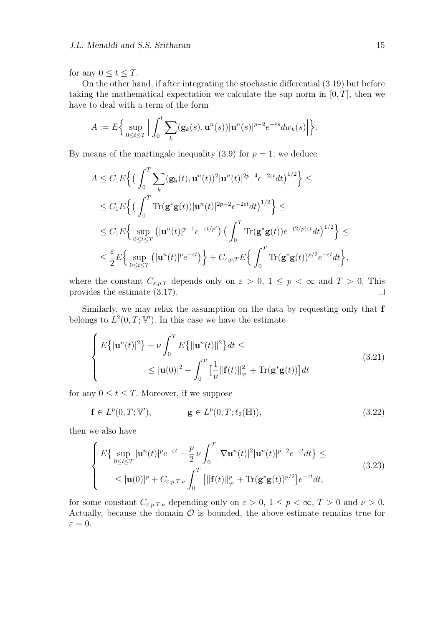for any  $0 \le t \le T$ .

On the other hand, if after integrating the stochastic differential (3.19) but before taking the mathematical expectation we calculate the sup norm in  $[0, T]$ , then we have to deal with a term of the form

$$
A := E\Big\{\sup_{0\leq t\leq T}\Big|\int_0^t \sum_k (\mathbf{g}_k(s), \mathbf{u}^n(s))|\mathbf{u}^n(s)|^{p-2}e^{-\varepsilon s}dw_k(s)\Big|\Big\}.
$$

By means of the martingale inequality  $(3.9)$  for  $p = 1$ , we deduce

$$
A \leq C_1 E \Big\{ \Big( \int_0^T \sum_k (\mathbf{g_k}(t), \mathbf{u}^n(t))^2 |\mathbf{u}^n(t)|^{2p-4} e^{-2\varepsilon t} dt \Big)^{1/2} \Big\} \leq
$$
  
\n
$$
\leq C_1 E \Big\{ \Big( \int_0^T \text{Tr}(\mathbf{g}^* \mathbf{g}(t)) |\mathbf{u}^n(t)|^{2p-2} e^{-2\varepsilon t} dt \Big)^{1/2} \Big\} \leq
$$
  
\n
$$
\leq C_1 E \Big\{ \sup_{0 \leq t \leq T} (|\mathbf{u}^n(t)|^{p-1} e^{-\varepsilon t/p'}) \Big( \int_0^T \text{Tr}(\mathbf{g}^* \mathbf{g}(t)) e^{-(2/p)\varepsilon t} dt \Big)^{1/2} \Big\} \leq
$$
  
\n
$$
\leq \frac{\varepsilon}{2} E \Big\{ \sup_{0 \leq t \leq T} (|\mathbf{u}^n(t)|^p e^{-\varepsilon t}) \Big\} + C_{\varepsilon, p, T} E \Big\{ \int_0^T \text{Tr}(\mathbf{g}^* \mathbf{g}(t))^{p/2} e^{-\varepsilon t} dt \Big\},
$$

where the constant  $C_{\varepsilon,p,T}$  depends only on  $\varepsilon > 0$ ,  $1 \leq p < \infty$  and  $T > 0$ . This provides the estimate (3.17).  $\Box$ 

Similarly, we may relax the assumption on the data by requesting only that **f** belongs to  $L^2(0,T;\mathbb{V}')$ . In this case we have the estimate

$$
\begin{cases}\nE\{|{\bf u}^{n}(t)|^{2}\} + \nu \int_{0}^{T} E\{|{\bf u}^{n}(t)\|^{2}\}dt \leq \\
\leq |{\bf u}(0)|^{2} + \int_{0}^{T} \left[\frac{1}{\nu} \|{\bf f}(t)\|_{\mathbf{v}'}^{2} + \text{Tr}({\bf g}^{*}{\bf g}(t))\right]dt\n\end{cases} (3.21)
$$

for any  $0 \le t \le T$ . Moreover, if we suppose

$$
\mathbf{f} \in L^p(0, T; \mathbb{V}'), \qquad \mathbf{g} \in L^p(0, T; \ell_2(\mathbb{H})), \tag{3.22}
$$

then we also have

$$
\begin{cases}\nE\{\sup_{0\leq t\leq T}|\mathbf{u}^{n}(t)|^{p}e^{-\varepsilon t}+\frac{p}{2}\nu\int_{0}^{T}|\nabla\mathbf{u}^{n}(t)|^{2}|\mathbf{u}^{n}(t)|^{p-2}e^{-\varepsilon t}dt\}\leq\\ \n\leq |\mathbf{u}(0)|^{p}+C_{\varepsilon,p,T,\nu}\int_{0}^{T}\left[\|\mathbf{f}(t)\|_{\mathbf{v}'}^{p}+\text{Tr}(\mathbf{g}^{*}\mathbf{g}(t))^{p/2}\right]e^{-\varepsilon t}dt,\n\end{cases}
$$
\n(3.23)

for some constant  $C_{\varepsilon,p,T,\nu}$  depending only on  $\varepsilon > 0$ ,  $1 \le p < \infty$ ,  $T > 0$  and  $\nu > 0$ . Actually, because the domain  $\mathcal O$  is bounded, the above estimate remains true for  $\varepsilon = 0$ .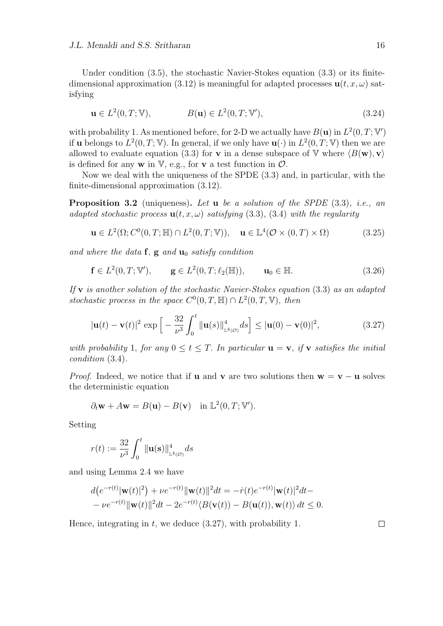Under condition (3.5), the stochastic Navier-Stokes equation (3.3) or its finitedimensional approximation (3.12) is meaningful for adapted processes  $\mathbf{u}(t, x, \omega)$  satisfying

$$
\mathbf{u} \in L^2(0, T; \mathbb{V}), \qquad B(\mathbf{u}) \in L^2(0, T; \mathbb{V}'), \qquad (3.24)
$$

with probability 1. As mentioned before, for 2-D we actually have  $B(\mathbf{u})$  in  $L^2(0,T;\mathbb{V}')$ if **u** belongs to  $L^2(0,T;\mathbb{V})$ . In general, if we only have  $\mathbf{u}(\cdot)$  in  $L^2(0,T;\mathbb{V})$  then we are allowed to evaluate equation (3.3) for **v** in a dense subspace of V where  $\langle B(\mathbf{w}), \mathbf{v} \rangle$ is defined for any **w** in  $V$ , e.g., for **v** a test function in  $O$ .

Now we deal with the uniqueness of the SPDE (3.3) and, in particular, with the finite-dimensional approximation (3.12).

**Proposition 3.2** (uniqueness)**.** *Let* **u** *be a solution of the SPDE* (3.3)*, i.e., an adapted stochastic process*  $u(t, x, \omega)$  *satisfying* (3.3), (3.4) *with the regularity* 

$$
\mathbf{u} \in L^2(\Omega; C^0(0,T;\mathbb{H}) \cap L^2(0,T;\mathbb{V})), \quad \mathbf{u} \in \mathbb{L}^4(\mathcal{O} \times (0,T) \times \Omega) \tag{3.25}
$$

*and where the data* **f***,* **g** *and* **u**<sup>0</sup> *satisfy condition*

$$
\mathbf{f} \in L^{2}(0, T; \mathbb{V}'), \qquad \mathbf{g} \in L^{2}(0, T; \ell_{2}(\mathbb{H})), \qquad \mathbf{u}_{0} \in \mathbb{H}.
$$
 (3.26)

*If* **v** *is another solution of the stochastic Navier-Stokes equation* (3.3) *as an adapted stochastic process in the space*  $C^0(0,T,\mathbb{H}) \cap L^2(0,T,\mathbb{V})$ , then

$$
|\mathbf{u}(t) - \mathbf{v}(t)|^2 \exp\left[ -\frac{32}{\nu^3} \int_0^t \|\mathbf{u}(s)\|_{\mathbb{L}^4(\mathcal{O})}^4 ds \right] \le |\mathbf{u}(0) - \mathbf{v}(0)|^2, \tag{3.27}
$$

*with probability* 1*, for any*  $0 \le t \le T$ . In particular  $\mathbf{u} = \mathbf{v}$ *, if*  $\mathbf{v}$  *satisfies the initial condition* (3.4)*.*

*Proof.* Indeed, we notice that if **u** and **v** are two solutions then  $\mathbf{w} = \mathbf{v} - \mathbf{u}$  solves the deterministic equation

$$
\partial_t \mathbf{w} + A \mathbf{w} = B(\mathbf{u}) - B(\mathbf{v}) \quad \text{in } \mathbb{L}^2(0, T; \mathbb{V}').
$$

Setting

$$
r(t) := \frac{32}{\nu^3} \int_0^t ||\mathbf{u}(\mathbf{s})||_{L^4(\mathcal{O})}^4 ds
$$

and using Lemma 2.4 we have

$$
d(e^{-r(t)}|\mathbf{w}(t)|^2) + \nu e^{-r(t)}|\mathbf{w}(t)||^2 dt = -\dot{r}(t)e^{-r(t)}|\mathbf{w}(t)|^2 dt -
$$
  
- 
$$
\nu e^{-r(t)}|\mathbf{w}(t)||^2 dt - 2e^{-r(t)}\langle B(\mathbf{v}(t)) - B(\mathbf{u}(t)), \mathbf{w}(t)\rangle dt \le 0.
$$

Hence, integrating in *t,* we deduce (3.27), with probability 1*.*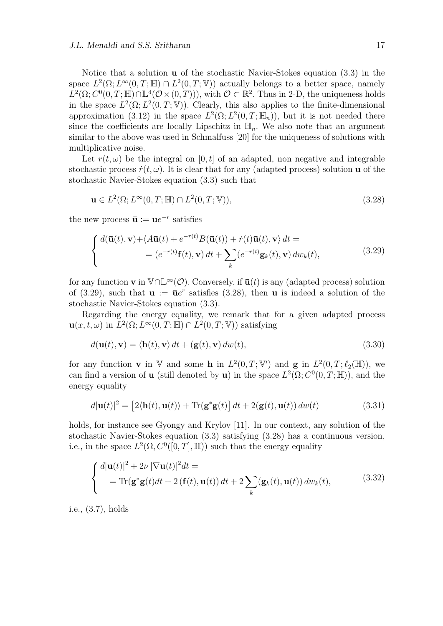Notice that a solution **u** of the stochastic Navier-Stokes equation (3.3) in the space  $L^2(\Omega; L^{\infty}(0,T;\mathbb{H}) \cap L^2(0,T;\mathbb{V}))$  actually belongs to a better space, namely  $L^2(\Omega; C^0(0,T;\mathbb{H}) \cap \mathbb{L}^4(\mathcal{O} \times (0,T)))$ , with  $\mathcal{O} \subset \mathbb{R}^2$ . Thus in 2-D, the uniqueness holds in the space  $L^2(\Omega; L^2(0,T;\mathbb{V}))$ . Clearly, this also applies to the finite-dimensional approximation (3.12) in the space  $L^2(\Omega; L^2(0,T; \mathbb{H}_n))$ , but it is not needed there since the coefficients are locally Lipschitz in  $\mathbb{H}_n$ . We also note that an argument similar to the above was used in Schmalfuss [20] for the uniqueness of solutions with multiplicative noise.

Let  $r(t, \omega)$  be the integral on [0, t] of an adapted, non negative and integrable stochastic process  $\dot{r}(t, \omega)$ . It is clear that for any (adapted process) solution **u** of the stochastic Navier-Stokes equation (3.3) such that

$$
\mathbf{u} \in L^2(\Omega; L^\infty(0, T; \mathbb{H}) \cap L^2(0, T; \mathbb{V})),\tag{3.28}
$$

the new process  $\bar{\mathbf{u}} := \mathbf{u}e^{-r}$  satisfies

$$
\begin{cases} d(\bar{\mathbf{u}}(t), \mathbf{v}) + \langle A\bar{\mathbf{u}}(t) + e^{-r(t)}B(\bar{\mathbf{u}}(t)) + \dot{r}(t)\bar{\mathbf{u}}(t), \mathbf{v} \rangle dt = \\ = (e^{-r(t)}\mathbf{f}(t), \mathbf{v}) dt + \sum_{k} (e^{-r(t)}\mathbf{g}_k(t), \mathbf{v}) dw_k(t), \end{cases}
$$
(3.29)

for any function **v** in  $\mathbb{V} \cap \mathbb{L}^{\infty}(\mathcal{O})$ . Conversely, if  $\bar{\mathbf{u}}(t)$  is any (adapted process) solution of (3.29), such that  $\mathbf{u} := \bar{\mathbf{u}}e^r$  satisfies (3.28), then **u** is indeed a solution of the stochastic Navier-Stokes equation (3.3).

Regarding the energy equality, we remark that for a given adapted process  $\mathbf{u}(x, t, \omega)$  in  $L^2(\Omega; L^\infty(0,T;\mathbb{H}) \cap L^2(0,T;\mathbb{V}))$  satisfying

$$
d(\mathbf{u}(t), \mathbf{v}) = \langle \mathbf{h}(t), \mathbf{v} \rangle dt + (\mathbf{g}(t), \mathbf{v}) dw(t), \qquad (3.30)
$$

for any function **v** in V and some **h** in  $L^2(0,T;\mathbb{V}')$  and **g** in  $L^2(0,T;\ell_2(\mathbb{H}))$ , we can find a version of **u** (still denoted by **u**) in the space  $L^2(\Omega; C^0(0,T;\mathbb{H}))$ , and the energy equality

$$
d|\mathbf{u}(t)|^2 = [2\langle \mathbf{h}(t), \mathbf{u}(t) \rangle + \text{Tr}(\mathbf{g}^* \mathbf{g}(t)) dt + 2(\mathbf{g}(t), \mathbf{u}(t)) dw(t)
$$
(3.31)

holds, for instance see Gyongy and Krylov [11]. In our context, any solution of the stochastic Navier-Stokes equation (3.3) satisfying (3.28) has a continuous version, i.e., in the space  $L^2(\Omega, C^0([0,T], \mathbb{H}))$  such that the energy equality

$$
\begin{cases} d|\mathbf{u}(t)|^2 + 2\nu |\nabla \mathbf{u}(t)|^2 dt = \\ = \text{Tr}(\mathbf{g}^* \mathbf{g}(t) dt + 2 (\mathbf{f}(t), \mathbf{u}(t)) dt + 2 \sum_k (\mathbf{g}_k(t), \mathbf{u}(t)) dw_k(t), \end{cases} (3.32)
$$

i.e., (3.7), holds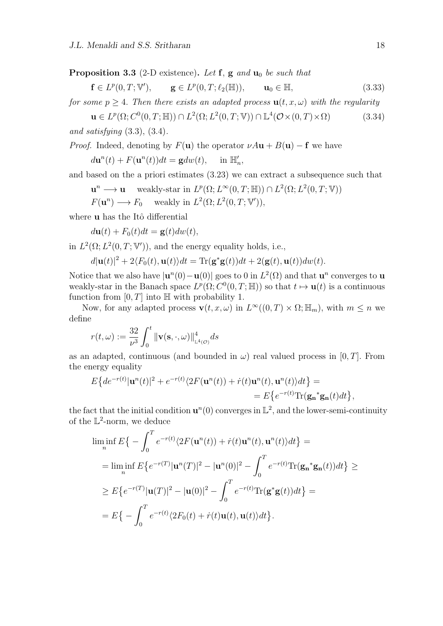**Proposition 3.3** (2-D existence)**.** *Let* **f***,* **g** *and* **u**<sup>0</sup> *be such that*

$$
\mathbf{f} \in L^p(0, T; \mathbb{V}'), \qquad \mathbf{g} \in L^p(0, T; \ell_2(\mathbb{H})), \qquad \mathbf{u}_0 \in \mathbb{H}, \tag{3.33}
$$

*for some*  $p > 4$ *. Then there exists an adapted process*  $\mathbf{u}(t, x, \omega)$  *with the regularity* 

 **(3.34)** *and satisfying* (3.3), (3.4)*.*

*Proof.* Indeed, denoting by  $F(\mathbf{u})$  the operator  $\nu A\mathbf{u} + B(\mathbf{u}) - \mathbf{f}$  we have

 $d\mathbf{u}^{n}(t) + F(\mathbf{u}^{n}(t))dt = \mathbf{g}dw(t), \text{ in } \mathbb{H}$ *′ n ,*

and based on the a priori estimates (3.23) we can extract a subsequence such that

**u**<sup>n</sup> → **u** weakly-star in  $L^p(\Omega; L^\infty(0,T;\mathbb{H}))$  ∩  $L^2(\Omega; L^2(0,T;\mathbb{V}))$ 

 $F(\mathbf{u}^n) \longrightarrow F_0$  weakly in  $L^2(\Omega; L^2(0,T; \mathbb{V}'))$ ,

where **u** has the Itô differential

 $d\mathbf{u}(t) + F_0(t)dt = \mathbf{g}(t)dw(t)$ ,

in  $L^2(\Omega; L^2(0,T; \mathbb{V}'))$ , and the energy equality holds, i.e.,

 $d|\mathbf{u}(t)|^2 + 2\langle F_0(t), \mathbf{u}(t)\rangle dt = \text{Tr}(\mathbf{g}^*\mathbf{g}(t))dt + 2(\mathbf{g}(t), \mathbf{u}(t))dw(t).$ 

Notice that we also have  $|\mathbf{u}^n(0) - \mathbf{u}(0)|$  goes to 0 in  $L^2(\Omega)$  and that  $\mathbf{u}^n$  converges to  $\mathbf{u}$ weakly-star in the Banach space  $L^p(\Omega; C^0(0,T;\mathbb{H}))$  so that  $t \mapsto \mathbf{u}(t)$  is a continuous function from  $[0, T]$  into  $\mathbb{H}$  with probability 1.

Now, for any adapted process  $\mathbf{v}(t, x, \omega)$  in  $L^{\infty}((0, T) \times \Omega; \mathbb{H}_m)$ , with  $m \leq n$  we define

$$
r(t,\omega) := \frac{32}{\nu^3} \int_0^t \|\mathbf{v}(\mathbf{s}, \cdot, \omega)\|_{\mathbb{L}^4(\mathcal{O})}^4 ds
$$

as an adapted, continuous (and bounded in  $\omega$ ) real valued process in [0, T]. From the energy equality

$$
E\left\{de^{-r(t)}|\mathbf{u}^n(t)|^2 + e^{-r(t)}\langle 2F(\mathbf{u}^n(t)) + \dot{r}(t)\mathbf{u}^n(t), \mathbf{u}^n(t)\rangle dt\right\} =
$$
  
= 
$$
E\left\{e^{-r(t)}\text{Tr}(\mathbf{g_n}^*\mathbf{g_n}(t)dt)\right\},\
$$

the fact that the initial condition  $\mathbf{u}^n(0)$  converges in  $\mathbb{L}^2$ , and the lower-semi-continuity of the  $\mathbb{L}^2$ -norm, we deduce

$$
\liminf_{n} E\{-\int_{0}^{T} e^{-r(t)} \langle 2F(\mathbf{u}^{n}(t)) + \dot{r}(t)\mathbf{u}^{n}(t), \mathbf{u}^{n}(t) \rangle dt\} =
$$
\n
$$
= \liminf_{n} E\{e^{-r(T)}|\mathbf{u}^{n}(T)|^{2} - |\mathbf{u}^{n}(0)|^{2} - \int_{0}^{T} e^{-r(t)} \text{Tr}(\mathbf{g}_{n}^{*} \mathbf{g}_{n}(t)) dt\} \ge
$$
\n
$$
\geq E\{e^{-r(T)}|\mathbf{u}(T)|^{2} - |\mathbf{u}(0)|^{2} - \int_{0}^{T} e^{-r(t)} \text{Tr}(\mathbf{g}^{*} \mathbf{g}(t)) dt\} =
$$
\n
$$
= E\{-\int_{0}^{T} e^{-r(t)} \langle 2F_{0}(t) + \dot{r}(t)\mathbf{u}(t), \mathbf{u}(t) \rangle dt\}.
$$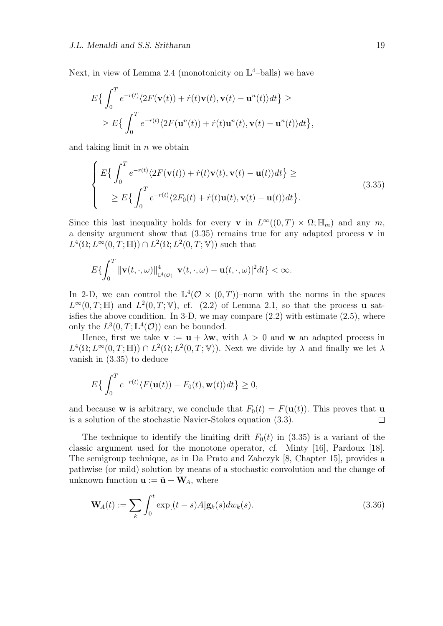Next, in view of Lemma 2.4 (monotonicity on  $\mathbb{L}^4$ -balls) we have

$$
E\left\{\int_0^T e^{-r(t)} \langle 2F(\mathbf{v}(t)) + \dot{r}(t)\mathbf{v}(t), \mathbf{v}(t) - \mathbf{u}^n(t) \rangle dt\right\} \ge
$$
  
 
$$
\geq E\left\{\int_0^T e^{-r(t)} \langle 2F(\mathbf{u}^n(t)) + \dot{r}(t)\mathbf{u}^n(t), \mathbf{v}(t) - \mathbf{u}^n(t) \rangle dt\right\},\
$$

and taking limit in *n* we obtain

$$
\begin{cases}\nE\{\int_0^T e^{-r(t)} \langle 2F(\mathbf{v}(t)) + \dot{r}(t)\mathbf{v}(t), \mathbf{v}(t) - \mathbf{u}(t) \rangle dt\} \ge \\
\ge E\{\int_0^T e^{-r(t)} \langle 2F_0(t) + \dot{r}(t)\mathbf{u}(t), \mathbf{v}(t) - \mathbf{u}(t) \rangle dt\}.\n\end{cases} \tag{3.35}
$$

Since this last inequality holds for every **v** in  $L^{\infty}((0,T) \times \Omega; \mathbb{H}_m)$  and any  $m$ , a density argument show that (3.35) remains true for any adapted process **v** in  $L^4(\Omega; L^\infty(0,T;\mathbb{H})) \cap L^2(\Omega; L^2(0,T;\mathbb{V}))$  such that

$$
E\{\int_0^T \|\mathbf{v}(t,\cdot,\omega)\|_{\mathbb{L}^4(\mathcal{O})}^4 |\mathbf{v}(t,\cdot,\omega)-\mathbf{u}(t,\cdot,\omega)|^2 dt\}<\infty.
$$

In 2-D, we can control the  $\mathbb{L}^4(\mathcal{O} \times (0,T))$ -norm with the norms in the spaces  $L^{\infty}(0,T;\mathbb{H})$  and  $L^2(0,T;\mathbb{V})$ , cf. (2.2) of Lemma 2.1, so that the process **u** satisfies the above condition. In 3-D, we may compare  $(2.2)$  with estimate  $(2.5)$ , where only the  $L^3(0,T;\mathbb{L}^4(\mathcal{O}))$  can be bounded.

Hence, first we take  $\mathbf{v} := \mathbf{u} + \lambda \mathbf{w}$ , with  $\lambda > 0$  and  $\mathbf{w}$  an adapted process in  $L^4(\Omega; L^{\infty}(0,T;\mathbb{H})) \cap L^2(\Omega; L^2(0,T;\mathbb{V}))$ . Next we divide by  $\lambda$  and finally we let  $\lambda$ vanish in (3.35) to deduce

$$
E\{\int_0^T e^{-r(t)}\langle F(\mathbf{u}(t))-F_0(t),\mathbf{w}(t)\rangle dt\}\geq 0,
$$

and because **w** is arbitrary, we conclude that  $F_0(t) = F(\mathbf{u}(t))$ . This proves that **u** is a solution of the stochastic Navier-Stokes equation (3.3).  $\Box$ 

The technique to identify the limiting drift  $F_0(t)$  in (3.35) is a variant of the classic argument used for the monotone operator, cf. Minty [16], Pardoux [18]. The semigroup technique, as in Da Prato and Zabczyk [8, Chapter 15], provides a pathwise (or mild) solution by means of a stochastic convolution and the change of unknown function  $\mathbf{u} := \tilde{\mathbf{u}} + \mathbf{W}_A$ , where

$$
\mathbf{W}_A(t) := \sum_k \int_0^t \exp[(t-s)A] \mathbf{g}_k(s) dw_k(s).
$$
\n(3.36)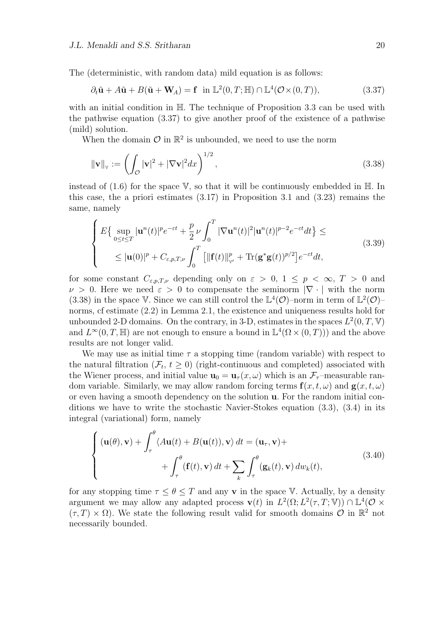The (deterministic, with random data) mild equation is as follows:

$$
\partial_t \tilde{\mathbf{u}} + A\tilde{\mathbf{u}} + B(\tilde{\mathbf{u}} + \mathbf{W}_A) = \mathbf{f} \quad \text{in } \mathbb{L}^2(0, T; \mathbb{H}) \cap \mathbb{L}^4(\mathcal{O} \times (0, T)), \tag{3.37}
$$

with an initial condition in H*.* The technique of Proposition 3.3 can be used with the pathwise equation (3.37) to give another proof of the existence of a pathwise (mild) solution.

When the domain  $\mathcal{O}$  in  $\mathbb{R}^2$  is unbounded, we need to use the norm

$$
\|\mathbf{v}\|_{\mathbf{v}} := \left(\int_{\mathcal{O}} |\mathbf{v}|^2 + |\nabla \mathbf{v}|^2 dx\right)^{1/2},\tag{3.38}
$$

instead of  $(1.6)$  for the space V, so that it will be continuously embedded in  $\mathbb{H}$ . In this case, the a priori estimates (3.17) in Proposition 3.1 and (3.23) remains the same, namely

$$
\begin{cases}\nE\{\sup_{0\leq t\leq T}|\mathbf{u}^{n}(t)|^{p}e^{-\varepsilon t}+\frac{p}{2}\nu\int_{0}^{T}|\nabla\mathbf{u}^{n}(t)|^{2}|\mathbf{u}^{n}(t)|^{p-2}e^{-\varepsilon t}dt\}\leq\\ \n\leq|\mathbf{u}(0)|^{p}+C_{\varepsilon,p,T,\nu}\int_{0}^{T}\left[\|\mathbf{f}(t)\|_{\mathbf{v}'}^{p}+\text{Tr}(\mathbf{g}^{*}\mathbf{g}(t))^{p/2}\right]e^{-\varepsilon t}dt,\n\end{cases}
$$
\n(3.39)

for some constant  $C_{\varepsilon,p,T,\nu}$  depending only on  $\varepsilon > 0$ ,  $1 \leq p < \infty$ ,  $T > 0$  and *ν* > 0. Here we need  $ε$  > 0 to compensate the seminorm  $|\nabla \cdot|$  with the norm (3.38) in the space V. Since we can still control the  $\mathbb{L}^4(\mathcal{O})$ -norm in term of  $\mathbb{L}^2(\mathcal{O})$ norms, cf estimate (2.2) in Lemma 2.1, the existence and uniqueness results hold for unbounded 2-D domains. On the contrary, in 3-D, estimates in the spaces  $L^2(0,T,\mathbb{V})$ and  $L^{\infty}(0,T,\mathbb{H})$  are not enough to ensure a bound in  $\mathbb{L}^4(\Omega \times (0,T))$  and the above results are not longer valid.

We may use as initial time  $\tau$  a stopping time (random variable) with respect to the natural filtration  $(\mathcal{F}_t, t \geq 0)$  (right-continuous and completed) associated with the Wiener process, and initial value  $\mathbf{u}_0 = \mathbf{u}_\tau(x,\omega)$  which is an  $\mathcal{F}_\tau$ -measurable random variable. Similarly, we may allow random forcing terms  $f(x, t, \omega)$  and  $g(x, t, \omega)$ or even having a smooth dependency on the solution **u***.* For the random initial conditions we have to write the stochastic Navier-Stokes equation (3.3), (3.4) in its integral (variational) form, namely

$$
\begin{cases}\n(\mathbf{u}(\theta), \mathbf{v}) + \int_{\tau}^{\theta} \langle A\mathbf{u}(t) + B(\mathbf{u}(t)), \mathbf{v} \rangle dt = (\mathbf{u}_{\tau}, \mathbf{v}) + \\
+ \int_{\tau}^{\theta} (\mathbf{f}(t), \mathbf{v}) dt + \sum_{k} \int_{\tau}^{\theta} (\mathbf{g}_{k}(t), \mathbf{v}) dw_{k}(t),\n\end{cases} (3.40)
$$

for any stopping time  $\tau \leq \theta \leq T$  and any **v** in the space V. Actually, by a density argument we may allow any adapted process  $\mathbf{v}(t)$  in  $L^2(\Omega; L^2(\tau, T; \mathbb{V})) \cap \mathbb{L}^4(\mathcal{O} \times$  $(\tau, T) \times \Omega$ ). We state the following result valid for smooth domains  $\mathcal{O}$  in  $\mathbb{R}^2$  not necessarily bounded.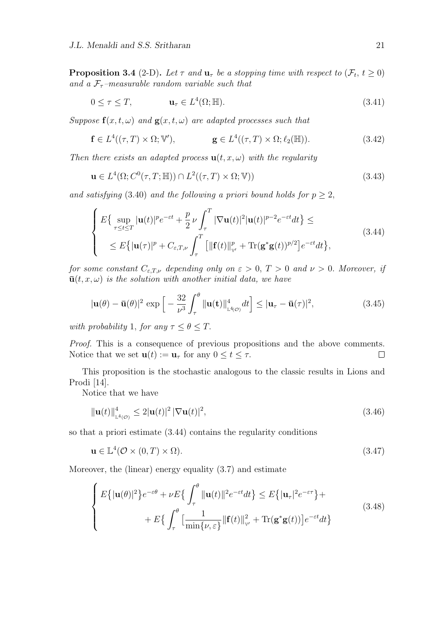**Proposition 3.4** (2-D). Let  $\tau$  and  $\mathbf{u}_{\tau}$  be a stopping time with respect to  $(\mathcal{F}_t, t \geq 0)$ *and a Fτ–measurable random variable such that*

$$
0 \le \tau \le T, \qquad \mathbf{u}_{\tau} \in L^{4}(\Omega; \mathbb{H}). \tag{3.41}
$$

*Suppose*  $f(x, t, \omega)$  *and*  $g(x, t, \omega)$  *are adapted processes such that* 

$$
\mathbf{f} \in L^4((\tau, T) \times \Omega; \mathbb{V}'), \qquad \mathbf{g} \in L^4((\tau, T) \times \Omega; \ell_2(\mathbb{H})). \tag{3.42}
$$

*Then there exists an adapted process*  $\mathbf{u}(t, x, \omega)$  *with the regularity* 

$$
\mathbf{u} \in L^{4}(\Omega; C^{0}(\tau, T; \mathbb{H})) \cap L^{2}((\tau, T) \times \Omega; \mathbb{V}))
$$
\n(3.43)

*and satisfying* (3.40) *and the following a priori bound holds for*  $p \geq 2$ ,

$$
\begin{cases}\nE\{\sup_{\tau\leq t\leq T}|\mathbf{u}(t)|^p e^{-\varepsilon t}+\frac{p}{2}\nu\int_{\tau}^T|\nabla\mathbf{u}(t)|^2|\mathbf{u}(t)|^{p-2}e^{-\varepsilon t}dt\}\leq \\
\leq E\{| \mathbf{u}(\tau)|^p+C_{\varepsilon,T,\nu}\int_{\tau}^T\left[\|\mathbf{f}(t)\|_{\mathbf{v}'}^p+\text{Tr}(\mathbf{g}^*\mathbf{g}(t))^{p/2}\right]e^{-\varepsilon t}dt\},\n\end{cases} (3.44)
$$

*for some constant*  $C_{\varepsilon,T,\nu}$  *depending only on*  $\varepsilon > 0$ ,  $T > 0$  *and*  $\nu > 0$ *. Moreover, if*  $\bar{u}(t, x, \omega)$  *is the solution with another initial data, we have* 

$$
|\mathbf{u}(\theta) - \bar{\mathbf{u}}(\theta)|^2 \exp\left[-\frac{32}{\nu^3} \int_{\tau}^{\theta} \|\mathbf{u}(\mathbf{t})\|_{\mathbb{L}^4(\mathcal{O})}^4 dt\right] \le |\mathbf{u}_{\tau} - \bar{\mathbf{u}}(\tau)|^2,
$$
(3.45)

*with probability* 1*, for any*  $\tau \leq \theta \leq T$ .

*Proof.* This is a consequence of previous propositions and the above comments. Notice that we set  $\mathbf{u}(t) := \mathbf{u}_{\tau}$  for any  $0 \leq t \leq \tau$ .  $\Box$ 

This proposition is the stochastic analogous to the classic results in Lions and Prodi [14].

Notice that we have

$$
\|\mathbf{u}(t)\|_{\mathbb{L}^{4}(\mathcal{O})}^{4} \leq 2|\mathbf{u}(t)|^{2} |\nabla \mathbf{u}(t)|^{2},\tag{3.46}
$$

so that a priori estimate (3.44) contains the regularity conditions

$$
\mathbf{u} \in \mathbb{L}^4(\mathcal{O} \times (0, T) \times \Omega). \tag{3.47}
$$

Moreover, the (linear) energy equality (3.7) and estimate

$$
\begin{cases}\nE\{|{\bf u}(\theta)|^2\}e^{-\varepsilon\theta} + \nu E\{\int_{\tau}^{\theta} \|{\bf u}(t)\|^2 e^{-\varepsilon t} dt\} \le E\{|{\bf u}_{\tau}|^2 e^{-\varepsilon\tau}\} + \\
&\quad + E\{\int_{\tau}^{\theta} \left[\frac{1}{\min\{\nu,\varepsilon\}} \|{\bf f}(t)\|_{\nu'}^2 + \text{Tr}({\bf g}^*{\bf g}(t))\right] e^{-\varepsilon t} dt\}\n\end{cases} \tag{3.48}
$$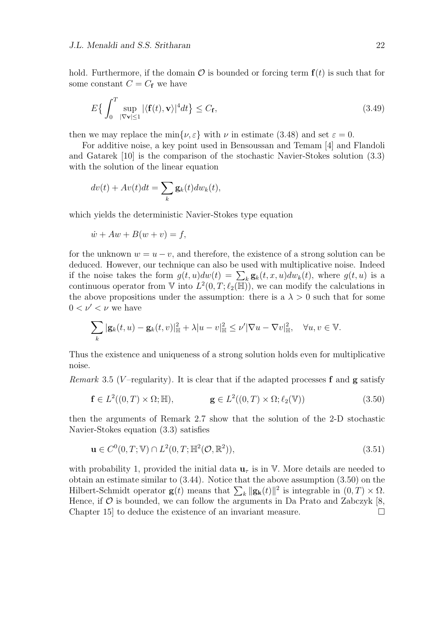hold. Furthermore, if the domain  $\mathcal O$  is bounded or forcing term  $f(t)$  is such that for some constant  $C = C_f$  we have

$$
E\left\{\int_{0}^{T} \sup_{|\nabla \mathbf{v}| \le 1} |\langle \mathbf{f}(t), \mathbf{v} \rangle|^4 dt\right\} \le C_{\mathbf{f}},\tag{3.49}
$$

then we may replace the min $\{\nu, \varepsilon\}$  with  $\nu$  in estimate (3.48) and set  $\varepsilon = 0$ .

For additive noise, a key point used in Bensoussan and Temam [4] and Flandoli and Gatarek [10] is the comparison of the stochastic Navier-Stokes solution (3.3) with the solution of the linear equation

$$
dv(t) + Av(t)dt = \sum_{k} \mathbf{g}_k(t) dw_k(t),
$$

which yields the deterministic Navier-Stokes type equation

$$
\dot{w} + Aw + B(w + v) = f,
$$

for the unknown  $w = u - v$ , and therefore, the existence of a strong solution can be deduced. However, our technique can also be used with multiplicative noise. Indeed if the noise takes the form  $g(t, u)dw(t) = \sum_k \mathbf{g}_k(t, x, u)dw_k(t)$ , where  $g(t, u)$  is a continuous operator from  $\nabla$  into  $L^2(0,T;\ell_2(\mathbb{H}))$ , we can modify the calculations in the above propositions under the assumption: there is a  $\lambda > 0$  such that for some  $0 < \nu' < \nu$  we have

$$
\sum_{k} |\mathbf{g}_k(t, u) - \mathbf{g}_k(t, v)|_{\mathbb{H}}^2 + \lambda |u - v|_{\mathbb{H}}^2 \le \nu' |\nabla u - \nabla v|_{\mathbb{H}}^2, \quad \forall u, v \in \mathbb{V}.
$$

Thus the existence and uniqueness of a strong solution holds even for multiplicative noise.

*Remark* 3.5 (*V*-regularity). It is clear that if the adapted processes **f** and **g** satisfy

$$
\mathbf{f} \in L^2((0,T) \times \Omega; \mathbb{H}), \qquad \mathbf{g} \in L^2((0,T) \times \Omega; \ell_2(\mathbb{V})) \tag{3.50}
$$

then the arguments of Remark 2.7 show that the solution of the 2-D stochastic Navier-Stokes equation (3.3) satisfies

$$
\mathbf{u} \in C^0(0, T; \mathbb{V}) \cap L^2(0, T; \mathbb{H}^2(\mathcal{O}, \mathbb{R}^2)),\tag{3.51}
$$

with probability 1, provided the initial data  $\mathbf{u}_\tau$  is in V. More details are needed to obtain an estimate similar to (3.44). Notice that the above assumption (3.50) on the Hilbert-Schmidt operator **g**(*t*) means that  $\sum_{k} ||\mathbf{g}_{k}(t)||^{2}$  is integrable in  $(0, T) \times \Omega$ . Hence, if  $\mathcal O$  is bounded, we can follow the arguments in Da Prato and Zabczyk [8, Chapter 15 to deduce the existence of an invariant measure.  $\Box$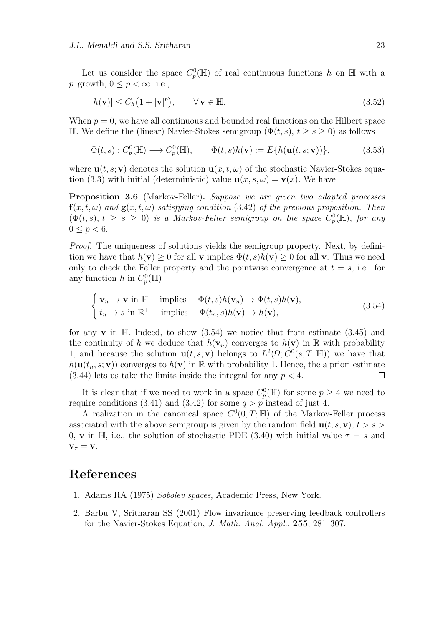$$
|h(\mathbf{v})| \le C_h (1 + |\mathbf{v}|^p), \qquad \forall \mathbf{v} \in \mathbb{H}.
$$
\n(3.52)

When  $p = 0$ , we have all continuous and bounded real functions on the Hilbert space H. We define the (linear) Navier-Stokes semigroup ( $\Phi(t, s)$ ,  $t \geq s \geq 0$ ) as follows

$$
\Phi(t,s) : C_p^0(\mathbb{H}) \longrightarrow C_p^0(\mathbb{H}), \qquad \Phi(t,s)h(\mathbf{v}) := E\{h(\mathbf{u}(t,s;\mathbf{v}))\},
$$
\n(3.53)

where  $\mathbf{u}(t, s; \mathbf{v})$  denotes the solution  $\mathbf{u}(x, t, \omega)$  of the stochastic Navier-Stokes equation (3.3) with initial (deterministic) value  $\mathbf{u}(x, s, \omega) = \mathbf{v}(x)$ . We have

**Proposition 3.6** (Markov-Feller)**.** *Suppose we are given two adapted processes*  $f(x, t, \omega)$  *and*  $g(x, t, \omega)$  *satisfying condition* (3.42) *of the previous proposition. Then*  $(\Phi(t, s), t \geq s \geq 0)$  *is a Markov-Feller semigroup on the space*  $C_p^0(\mathbb{H})$ *, for any*  $0 \le p < 6$ .

*Proof.* The uniqueness of solutions yields the semigroup property. Next, by definition we have that  $h(\mathbf{v}) \geq 0$  for all **v** implies  $\Phi(t, s)h(\mathbf{v}) \geq 0$  for all **v**. Thus we need only to check the Feller property and the pointwise convergence at  $t = s$ , i.e., for any function *h* in  $C_p^0(\mathbb{H})$ 

$$
\begin{cases}\n\mathbf{v}_n \to \mathbf{v} \text{ in } \mathbb{H} & \text{implies} \quad \Phi(t, s)h(\mathbf{v}_n) \to \Phi(t, s)h(\mathbf{v}), \\
t_n \to s \text{ in } \mathbb{R}^+ & \text{implies} \quad \Phi(t_n, s)h(\mathbf{v}) \to h(\mathbf{v}),\n\end{cases} \tag{3.54}
$$

for any  $\bf{v}$  in  $\mathbb{H}$ . Indeed, to show  $(3.54)$  we notice that from estimate  $(3.45)$  and the continuity of *h* we deduce that  $h(\mathbf{v}_n)$  converges to  $h(\mathbf{v})$  in R with probability 1, and because the solution  $\mathbf{u}(t,s;\mathbf{v})$  belongs to  $L^2(\Omega; C^0(s,T;\mathbb{H}))$  we have that  $h(\mathbf{u}(t_n, s; \mathbf{v}))$  converges to  $h(\mathbf{v})$  in R with probability 1. Hence, the a priori estimate  $(3.44)$  lets us take the limits inside the integral for any  $p < 4$ .  $\Box$ 

It is clear that if we need to work in a space  $C_p^0(\mathbb{H})$  for some  $p \geq 4$  we need to require conditions (3.41) and (3.42) for some  $q > p$  instead of just 4.

A realization in the canonical space  $C^0(0,T;\mathbb{H})$  of the Markov-Feller process associated with the above semigroup is given by the random field  $\mathbf{u}(t, s; \mathbf{v})$ ,  $t > s$ 0, **v** in H, i.e., the solution of stochastic PDE (3.40) with initial value  $\tau = s$  and  $\mathbf{v}_{\tau} = \mathbf{v}$ *.* 

#### **References**

- 1. Adams RA (1975) *Sobolev spaces*, Academic Press, New York.
- 2. Barbu V, Sritharan SS (2001) Flow invariance preserving feedback controllers for the Navier-Stokes Equation, *J. Math. Anal. Appl.*, **255**, 281–307.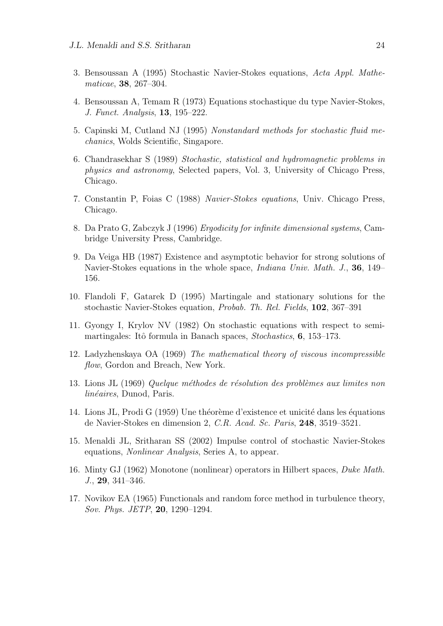- 3. Bensoussan A (1995) Stochastic Navier-Stokes equations, *Acta Appl. Mathematicae*, **38**, 267–304.
- 4. Bensoussan A, Temam R (1973) Equations stochastique du type Navier-Stokes, *J. Funct. Analysis*, **13**, 195–222.
- 5. Capinski M, Cutland NJ (1995) *Nonstandard methods for stochastic fluid mechanics*, Wolds Scientific, Singapore.
- 6. Chandrasekhar S (1989) *Stochastic, statistical and hydromagnetic problems in physics and astronomy*, Selected papers, Vol. 3, University of Chicago Press, Chicago.
- 7. Constantin P, Foias C (1988) *Navier-Stokes equations*, Univ. Chicago Press, Chicago.
- 8. Da Prato G, Zabczyk J (1996) *Ergodicity for infinite dimensional systems*, Cambridge University Press, Cambridge.
- 9. Da Veiga HB (1987) Existence and asymptotic behavior for strong solutions of Navier-Stokes equations in the whole space, *Indiana Univ. Math. J.*, **36**, 149– 156.
- 10. Flandoli F, Gatarek D (1995) Martingale and stationary solutions for the stochastic Navier-Stokes equation, *Probab. Th. Rel. Fields*, **102**, 367–391
- 11. Gyongy I, Krylov NV (1982) On stochastic equations with respect to semimartingales: Itô formula in Banach spaces, *Stochastics*, **6**, 153–173.
- 12. Ladyzhenskaya OA (1969) *The mathematical theory of viscous incompressible flow*, Gordon and Breach, New York.
- 13. Lions JL (1969) *Quelque m´ethodes de r´esolution des probl`emes aux limites non linéaires*, Dunod, Paris.
- 14. Lions JL, Prodi G (1959) Une théorème d'existence et unicité dans les équations de Navier-Stokes en dimension 2, *C.R. Acad. Sc. Paris*, **248**, 3519–3521.
- 15. Menaldi JL, Sritharan SS (2002) Impulse control of stochastic Navier-Stokes equations, *Nonlinear Analysis*, Series A, to appear.
- 16. Minty GJ (1962) Monotone (nonlinear) operators in Hilbert spaces, *Duke Math. J.*, **29**, 341–346.
- 17. Novikov EA (1965) Functionals and random force method in turbulence theory, *Sov. Phys. JETP*, **20**, 1290–1294.